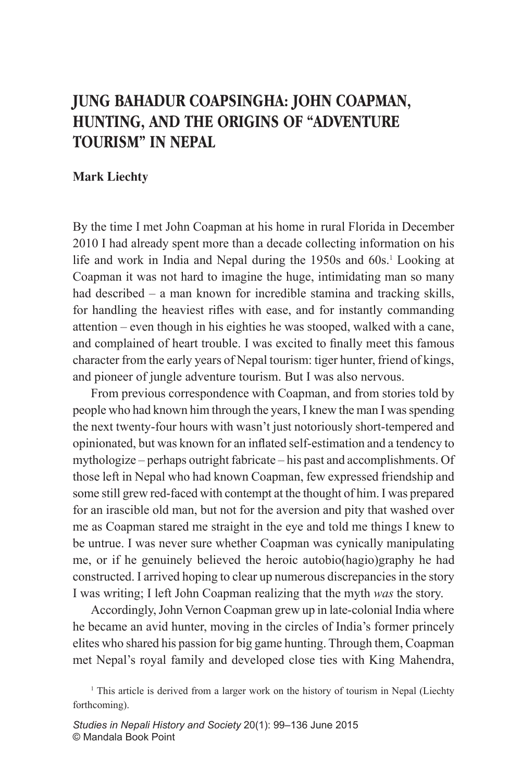# **JUNG BAHADUR COAPSINGHA: JOHN COAPMAN, HUNTING, AND THE ORIGINS OF "ADVENTURE TOURISM" IN NEPAL**

# **Mark Liechty**

By the time I met John Coapman at his home in rural Florida in December 2010 I had already spent more than a decade collecting information on his life and work in India and Nepal during the 1950s and 60s.<sup>1</sup> Looking at Coapman it was not hard to imagine the huge, intimidating man so many had described – a man known for incredible stamina and tracking skills, for handling the heaviest rifles with ease, and for instantly commanding attention – even though in his eighties he was stooped, walked with a cane, and complained of heart trouble. I was excited to finally meet this famous character from the early years of Nepal tourism: tiger hunter, friend of kings, and pioneer of jungle adventure tourism. But I was also nervous.

From previous correspondence with Coapman, and from stories told by people who had known him through the years, I knew the man I was spending the next twenty-four hours with wasn't just notoriously short-tempered and opinionated, but was known for an inflated self-estimation and a tendency to mythologize – perhaps outright fabricate – his past and accomplishments. Of those left in Nepal who had known Coapman, few expressed friendship and some still grew red-faced with contempt at the thought of him. I was prepared for an irascible old man, but not for the aversion and pity that washed over me as Coapman stared me straight in the eye and told me things I knew to be untrue. I was never sure whether Coapman was cynically manipulating me, or if he genuinely believed the heroic autobio(hagio)graphy he had constructed. I arrived hoping to clear up numerous discrepancies in the story I was writing; I left John Coapman realizing that the myth *was* the story.

Accordingly, John Vernon Coapman grew up in late-colonial India where he became an avid hunter, moving in the circles of India's former princely elites who shared his passion for big game hunting. Through them, Coapman met Nepal's royal family and developed close ties with King Mahendra,

<sup>&</sup>lt;sup>1</sup> This article is derived from a larger work on the history of tourism in Nepal (Liechty forthcoming).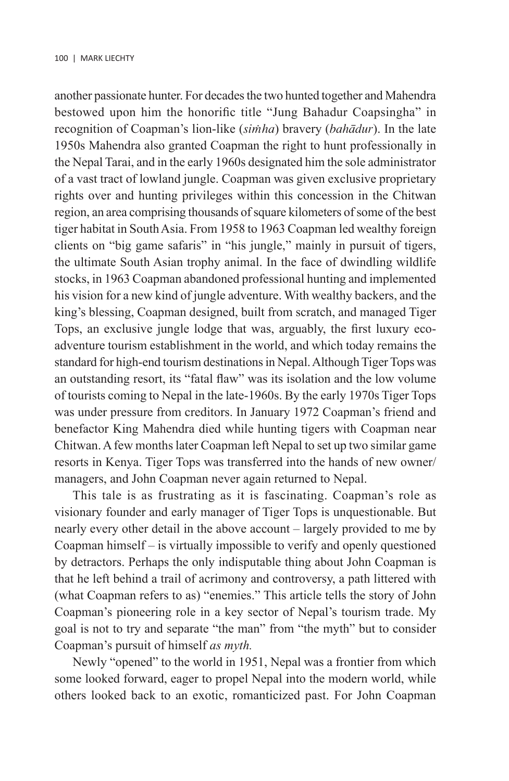another passionate hunter. For decades the two hunted together and Mahendra bestowed upon him the honorific title "Jung Bahadur Coapsingha" in recognition of Coapman's lion-like (*simha*) bravery (*bahādur*). In the late 1950s Mahendra also granted Coapman the right to hunt professionally in the Nepal Tarai, and in the early 1960s designated him the sole administrator of a vast tract of lowland jungle. Coapman was given exclusive proprietary rights over and hunting privileges within this concession in the Chitwan region, an area comprising thousands of square kilometers of some of the best tiger habitat in South Asia. From 1958 to 1963 Coapman led wealthy foreign clients on "big game safaris" in "his jungle," mainly in pursuit of tigers, the ultimate South Asian trophy animal. In the face of dwindling wildlife stocks, in 1963 Coapman abandoned professional hunting and implemented his vision for a new kind of jungle adventure. With wealthy backers, and the king's blessing, Coapman designed, built from scratch, and managed Tiger Tops, an exclusive jungle lodge that was, arguably, the first luxury ecoadventure tourism establishment in the world, and which today remains the standard for high-end tourism destinations in Nepal. Although Tiger Tops was an outstanding resort, its "fatal flaw" was its isolation and the low volume of tourists coming to Nepal in the late-1960s. By the early 1970s Tiger Tops was under pressure from creditors. In January 1972 Coapman's friend and benefactor King Mahendra died while hunting tigers with Coapman near Chitwan. A few months later Coapman left Nepal to set up two similar game resorts in Kenya. Tiger Tops was transferred into the hands of new owner/ managers, and John Coapman never again returned to Nepal.

This tale is as frustrating as it is fascinating. Coapman's role as visionary founder and early manager of Tiger Tops is unquestionable. But nearly every other detail in the above account – largely provided to me by Coapman himself – is virtually impossible to verify and openly questioned by detractors. Perhaps the only indisputable thing about John Coapman is that he left behind a trail of acrimony and controversy, a path littered with (what Coapman refers to as) "enemies." This article tells the story of John Coapman's pioneering role in a key sector of Nepal's tourism trade. My goal is not to try and separate "the man" from "the myth" but to consider Coapman's pursuit of himself *as myth.* 

Newly "opened" to the world in 1951, Nepal was a frontier from which some looked forward, eager to propel Nepal into the modern world, while others looked back to an exotic, romanticized past. For John Coapman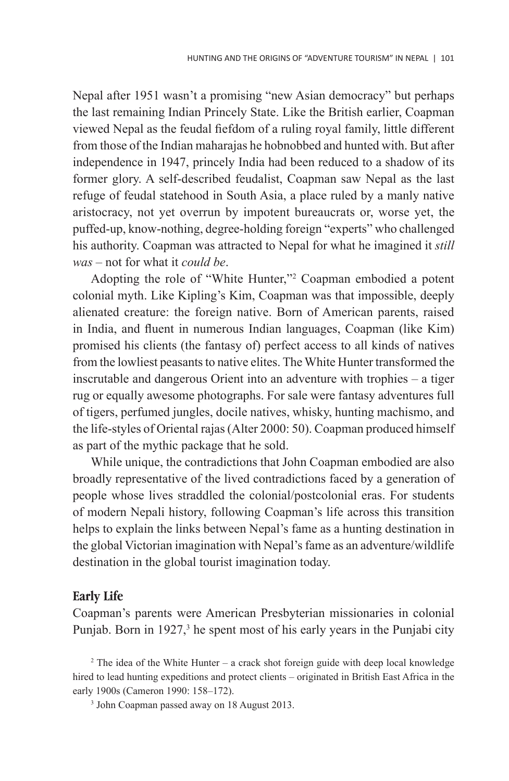Nepal after 1951 wasn't a promising "new Asian democracy" but perhaps the last remaining Indian Princely State. Like the British earlier, Coapman viewed Nepal as the feudal fiefdom of a ruling royal family, little different from those of the Indian maharajas he hobnobbed and hunted with. But after independence in 1947, princely India had been reduced to a shadow of its former glory. A self-described feudalist, Coapman saw Nepal as the last refuge of feudal statehood in South Asia, a place ruled by a manly native aristocracy, not yet overrun by impotent bureaucrats or, worse yet, the puffed-up, know-nothing, degree-holding foreign "experts" who challenged his authority. Coapman was attracted to Nepal for what he imagined it *still was* – not for what it *could be*.

Adopting the role of "White Hunter,"<sup>2</sup> Coapman embodied a potent colonial myth. Like Kipling's Kim, Coapman was that impossible, deeply alienated creature: the foreign native. Born of American parents, raised in India, and fluent in numerous Indian languages, Coapman (like Kim) promised his clients (the fantasy of) perfect access to all kinds of natives from the lowliest peasants to native elites. The White Hunter transformed the inscrutable and dangerous Orient into an adventure with trophies – a tiger rug or equally awesome photographs. For sale were fantasy adventures full of tigers, perfumed jungles, docile natives, whisky, hunting machismo, and the life-styles of Oriental rajas (Alter 2000: 50). Coapman produced himself as part of the mythic package that he sold.

While unique, the contradictions that John Coapman embodied are also broadly representative of the lived contradictions faced by a generation of people whose lives straddled the colonial/postcolonial eras. For students of modern Nepali history, following Coapman's life across this transition helps to explain the links between Nepal's fame as a hunting destination in the global Victorian imagination with Nepal's fame as an adventure/wildlife destination in the global tourist imagination today.

#### **Early Life**

Coapman's parents were American Presbyterian missionaries in colonial Punjab. Born in 1927,<sup>3</sup> he spent most of his early years in the Punjabi city

<sup>2</sup> The idea of the White Hunter – a crack shot foreign guide with deep local knowledge hired to lead hunting expeditions and protect clients – originated in British East Africa in the early 1900s (Cameron 1990: 158–172).

3 John Coapman passed away on 18 August 2013.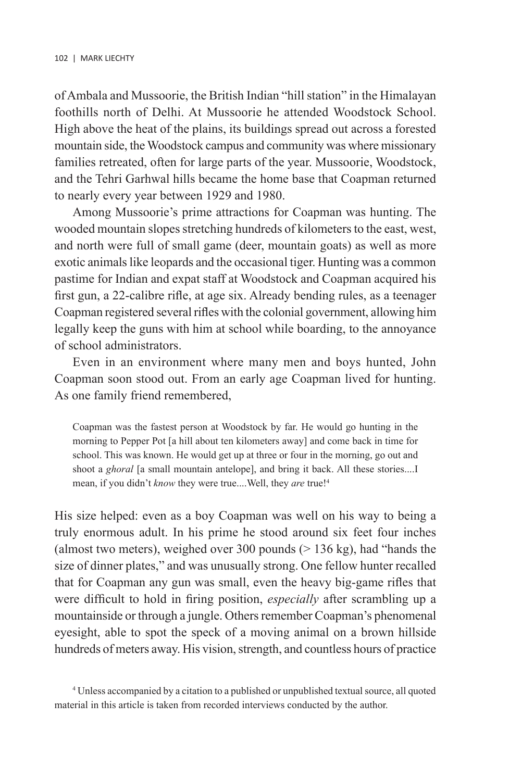of Ambala and Mussoorie, the British Indian "hill station" in the Himalayan foothills north of Delhi. At Mussoorie he attended Woodstock School. High above the heat of the plains, its buildings spread out across a forested mountain side, the Woodstock campus and community was where missionary families retreated, often for large parts of the year. Mussoorie, Woodstock, and the Tehri Garhwal hills became the home base that Coapman returned to nearly every year between 1929 and 1980.

Among Mussoorie's prime attractions for Coapman was hunting. The wooded mountain slopes stretching hundreds of kilometers to the east, west, and north were full of small game (deer, mountain goats) as well as more exotic animals like leopards and the occasional tiger. Hunting was a common pastime for Indian and expat staff at Woodstock and Coapman acquired his first gun, a 22-calibre rifle, at age six. Already bending rules, as a teenager Coapman registered several rifles with the colonial government, allowing him legally keep the guns with him at school while boarding, to the annoyance of school administrators.

Even in an environment where many men and boys hunted, John Coapman soon stood out. From an early age Coapman lived for hunting. As one family friend remembered,

Coapman was the fastest person at Woodstock by far. He would go hunting in the morning to Pepper Pot [a hill about ten kilometers away] and come back in time for school. This was known. He would get up at three or four in the morning, go out and shoot a *ghoral* [a small mountain antelope], and bring it back. All these stories....I mean, if you didn't *know* they were true....Well, they *are* true!4

His size helped: even as a boy Coapman was well on his way to being a truly enormous adult. In his prime he stood around six feet four inches (almost two meters), weighed over 300 pounds  $(> 136 \text{ kg})$ , had "hands the size of dinner plates," and was unusually strong. One fellow hunter recalled that for Coapman any gun was small, even the heavy big-game rifles that were difficult to hold in firing position, *especially* after scrambling up a mountainside or through a jungle. Others remember Coapman's phenomenal eyesight, able to spot the speck of a moving animal on a brown hillside hundreds of meters away. His vision, strength, and countless hours of practice

<sup>4</sup> Unless accompanied by a citation to a published or unpublished textual source, all quoted material in this article is taken from recorded interviews conducted by the author.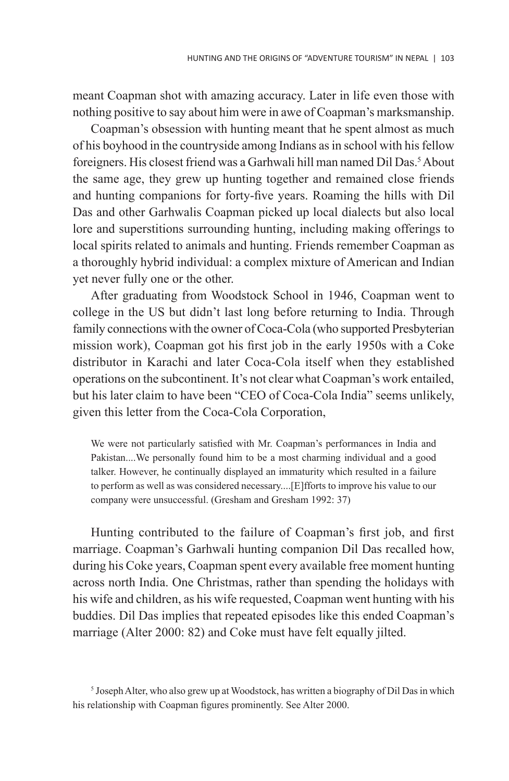meant Coapman shot with amazing accuracy. Later in life even those with nothing positive to say about him were in awe of Coapman's marksmanship.

Coapman's obsession with hunting meant that he spent almost as much of his boyhood in the countryside among Indians as in school with his fellow foreigners. His closest friend was a Garhwali hill man named Dil Das.<sup>5</sup> About the same age, they grew up hunting together and remained close friends and hunting companions for forty-five years. Roaming the hills with Dil Das and other Garhwalis Coapman picked up local dialects but also local lore and superstitions surrounding hunting, including making offerings to local spirits related to animals and hunting. Friends remember Coapman as a thoroughly hybrid individual: a complex mixture of American and Indian yet never fully one or the other.

After graduating from Woodstock School in 1946, Coapman went to college in the US but didn't last long before returning to India. Through family connections with the owner of Coca-Cola (who supported Presbyterian mission work), Coapman got his first job in the early 1950s with a Coke distributor in Karachi and later Coca-Cola itself when they established operations on the subcontinent. It's not clear what Coapman's work entailed, but his later claim to have been "CEO of Coca-Cola India" seems unlikely, given this letter from the Coca-Cola Corporation,

We were not particularly satisfied with Mr. Coapman's performances in India and Pakistan....We personally found him to be a most charming individual and a good talker. However, he continually displayed an immaturity which resulted in a failure to perform as well as was considered necessary....[E]fforts to improve his value to our company were unsuccessful. (Gresham and Gresham 1992: 37)

Hunting contributed to the failure of Coapman's first job, and first marriage. Coapman's Garhwali hunting companion Dil Das recalled how, during his Coke years, Coapman spent every available free moment hunting across north India. One Christmas, rather than spending the holidays with his wife and children, as his wife requested, Coapman went hunting with his buddies. Dil Das implies that repeated episodes like this ended Coapman's marriage (Alter 2000: 82) and Coke must have felt equally jilted.

<sup>&</sup>lt;sup>5</sup> Joseph Alter, who also grew up at Woodstock, has written a biography of Dil Das in which his relationship with Coapman figures prominently. See Alter 2000.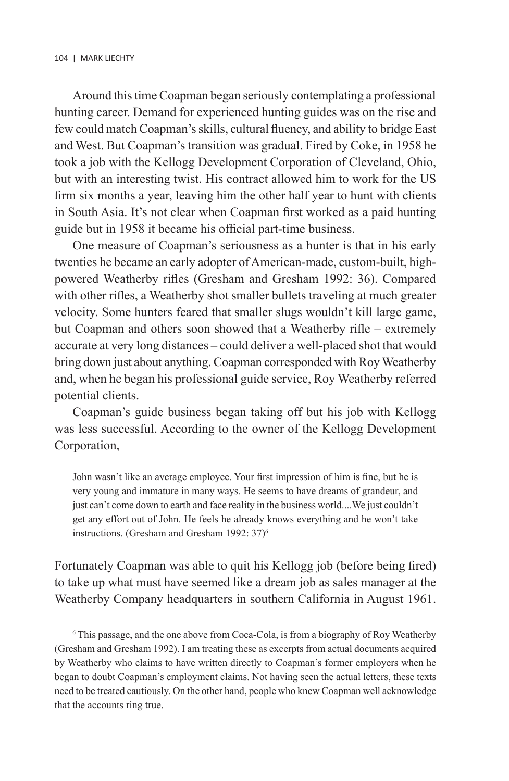Around this time Coapman began seriously contemplating a professional hunting career. Demand for experienced hunting guides was on the rise and few could match Coapman's skills, cultural fluency, and ability to bridge East and West. But Coapman's transition was gradual. Fired by Coke, in 1958 he took a job with the Kellogg Development Corporation of Cleveland, Ohio, but with an interesting twist. His contract allowed him to work for the US firm six months a year, leaving him the other half year to hunt with clients in South Asia. It's not clear when Coapman first worked as a paid hunting guide but in 1958 it became his official part-time business.

One measure of Coapman's seriousness as a hunter is that in his early twenties he became an early adopter of American-made, custom-built, highpowered Weatherby rifles (Gresham and Gresham 1992: 36). Compared with other rifles, a Weatherby shot smaller bullets traveling at much greater velocity. Some hunters feared that smaller slugs wouldn't kill large game, but Coapman and others soon showed that a Weatherby rifle – extremely accurate at very long distances – could deliver a well-placed shot that would bring down just about anything. Coapman corresponded with Roy Weatherby and, when he began his professional guide service, Roy Weatherby referred potential clients.

Coapman's guide business began taking off but his job with Kellogg was less successful. According to the owner of the Kellogg Development Corporation,

John wasn't like an average employee. Your first impression of him is fine, but he is very young and immature in many ways. He seems to have dreams of grandeur, and just can't come down to earth and face reality in the business world....We just couldn't get any effort out of John. He feels he already knows everything and he won't take instructions. (Gresham and Gresham 1992: 37)<sup>6</sup>

Fortunately Coapman was able to quit his Kellogg job (before being fired) to take up what must have seemed like a dream job as sales manager at the Weatherby Company headquarters in southern California in August 1961.

6 This passage, and the one above from Coca-Cola, is from a biography of Roy Weatherby (Gresham and Gresham 1992). I am treating these as excerpts from actual documents acquired by Weatherby who claims to have written directly to Coapman's former employers when he began to doubt Coapman's employment claims. Not having seen the actual letters, these texts need to be treated cautiously. On the other hand, people who knew Coapman well acknowledge that the accounts ring true.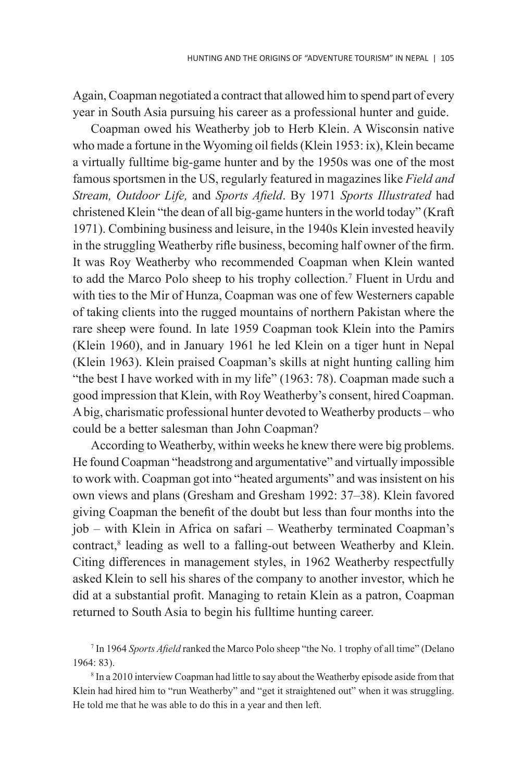Again, Coapman negotiated a contract that allowed him to spend part of every year in South Asia pursuing his career as a professional hunter and guide.

Coapman owed his Weatherby job to Herb Klein. A Wisconsin native who made a fortune in the Wyoming oil fields (Klein 1953: ix), Klein became a virtually fulltime big-game hunter and by the 1950s was one of the most famous sportsmen in the US, regularly featured in magazines like *Field and Stream, Outdoor Life,* and *Sports Afield*. By 1971 *Sports Illustrated* had christened Klein "the dean of all big-game hunters in the world today" (Kraft 1971). Combining business and leisure, in the 1940s Klein invested heavily in the struggling Weatherby rifle business, becoming half owner of the firm. It was Roy Weatherby who recommended Coapman when Klein wanted to add the Marco Polo sheep to his trophy collection.7 Fluent in Urdu and with ties to the Mir of Hunza, Coapman was one of few Westerners capable of taking clients into the rugged mountains of northern Pakistan where the rare sheep were found. In late 1959 Coapman took Klein into the Pamirs (Klein 1960), and in January 1961 he led Klein on a tiger hunt in Nepal (Klein 1963). Klein praised Coapman's skills at night hunting calling him "the best I have worked with in my life" (1963: 78). Coapman made such a good impression that Klein, with Roy Weatherby's consent, hired Coapman. A big, charismatic professional hunter devoted to Weatherby products – who could be a better salesman than John Coapman?

According to Weatherby, within weeks he knew there were big problems. He found Coapman "headstrong and argumentative" and virtually impossible to work with. Coapman got into "heated arguments" and was insistent on his own views and plans (Gresham and Gresham 1992: 37–38). Klein favored giving Coapman the benefit of the doubt but less than four months into the job – with Klein in Africa on safari – Weatherby terminated Coapman's contract,<sup>8</sup> leading as well to a falling-out between Weatherby and Klein. Citing differences in management styles, in 1962 Weatherby respectfully asked Klein to sell his shares of the company to another investor, which he did at a substantial profit. Managing to retain Klein as a patron, Coapman returned to South Asia to begin his fulltime hunting career.

7 In 1964 *Sports Afield* ranked the Marco Polo sheep "the No. 1 trophy of all time" (Delano 1964: 83).

8 In a 2010 interview Coapman had little to say about the Weatherby episode aside from that Klein had hired him to "run Weatherby" and "get it straightened out" when it was struggling. He told me that he was able to do this in a year and then left.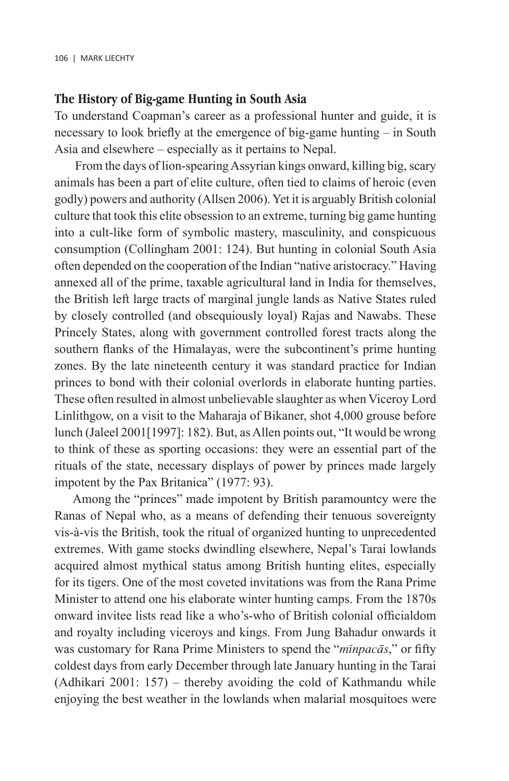## **The History of Big-game Hunting in South Asia**

To understand Coapman's career as a professional hunter and guide, it is necessary to look briefly at the emergence of big-game hunting – in South Asia and elsewhere – especially as it pertains to Nepal.

 From the days of lion-spearing Assyrian kings onward, killing big, scary animals has been a part of elite culture, often tied to claims of heroic (even godly) powers and authority (Allsen 2006). Yet it is arguably British colonial culture that took this elite obsession to an extreme, turning big game hunting into a cult-like form of symbolic mastery, masculinity, and conspicuous consumption (Collingham 2001: 124). But hunting in colonial South Asia often depended on the cooperation of the Indian "native aristocracy." Having annexed all of the prime, taxable agricultural land in India for themselves, the British left large tracts of marginal jungle lands as Native States ruled by closely controlled (and obsequiously loyal) Rajas and Nawabs. These Princely States, along with government controlled forest tracts along the southern flanks of the Himalayas, were the subcontinent's prime hunting zones. By the late nineteenth century it was standard practice for Indian princes to bond with their colonial overlords in elaborate hunting parties. These often resulted in almost unbelievable slaughter as when Viceroy Lord Linlithgow, on a visit to the Maharaja of Bikaner, shot 4,000 grouse before lunch (Jaleel 2001[1997]: 182). But, as Allen points out, "It would be wrong to think of these as sporting occasions: they were an essential part of the rituals of the state, necessary displays of power by princes made largely impotent by the Pax Britanica" (1977: 93).

Among the "princes" made impotent by British paramountcy were the Ranas of Nepal who, as a means of defending their tenuous sovereignty vis-à-vis the British, took the ritual of organized hunting to unprecedented extremes. With game stocks dwindling elsewhere, Nepal's Tarai lowlands acquired almost mythical status among British hunting elites, especially for its tigers. One of the most coveted invitations was from the Rana Prime Minister to attend one his elaborate winter hunting camps. From the 1870s onward invitee lists read like a who's-who of British colonial officialdom and royalty including viceroys and kings. From Jung Bahadur onwards it was customary for Rana Prime Ministers to spend the "*mãnpacàs*," or fifty coldest days from early December through late January hunting in the Tarai (Adhikari 2001: 157) – thereby avoiding the cold of Kathmandu while enjoying the best weather in the lowlands when malarial mosquitoes were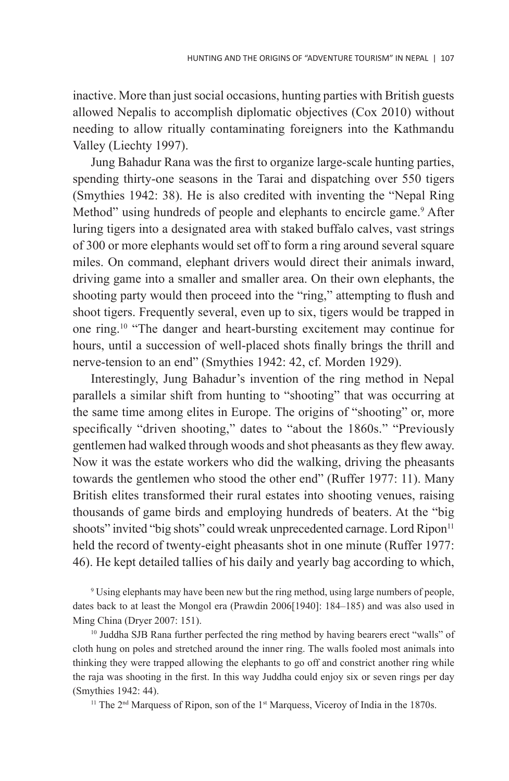inactive. More than just social occasions, hunting parties with British guests allowed Nepalis to accomplish diplomatic objectives (Cox 2010) without needing to allow ritually contaminating foreigners into the Kathmandu Valley (Liechty 1997).

Jung Bahadur Rana was the first to organize large-scale hunting parties, spending thirty-one seasons in the Tarai and dispatching over 550 tigers (Smythies 1942: 38). He is also credited with inventing the "Nepal Ring Method" using hundreds of people and elephants to encircle game.<sup>9</sup> After luring tigers into a designated area with staked buffalo calves, vast strings of 300 or more elephants would set off to form a ring around several square miles. On command, elephant drivers would direct their animals inward, driving game into a smaller and smaller area. On their own elephants, the shooting party would then proceed into the "ring," attempting to flush and shoot tigers. Frequently several, even up to six, tigers would be trapped in one ring.10 "The danger and heart-bursting excitement may continue for hours, until a succession of well-placed shots finally brings the thrill and nerve-tension to an end" (Smythies 1942: 42, cf. Morden 1929).

Interestingly, Jung Bahadur's invention of the ring method in Nepal parallels a similar shift from hunting to "shooting" that was occurring at the same time among elites in Europe. The origins of "shooting" or, more specifically "driven shooting," dates to "about the 1860s." "Previously gentlemen had walked through woods and shot pheasants as they flew away. Now it was the estate workers who did the walking, driving the pheasants towards the gentlemen who stood the other end" (Ruffer 1977: 11). Many British elites transformed their rural estates into shooting venues, raising thousands of game birds and employing hundreds of beaters. At the "big shoots" invited "big shots" could wreak unprecedented carnage. Lord Ripon<sup>11</sup> held the record of twenty-eight pheasants shot in one minute (Ruffer 1977: 46). He kept detailed tallies of his daily and yearly bag according to which,

9 Using elephants may have been new but the ring method, using large numbers of people, dates back to at least the Mongol era (Prawdin 2006[1940]: 184–185) and was also used in Ming China (Dryer 2007: 151).

<sup>10</sup> Juddha SJB Rana further perfected the ring method by having bearers erect "walls" of cloth hung on poles and stretched around the inner ring. The walls fooled most animals into thinking they were trapped allowing the elephants to go off and constrict another ring while the raja was shooting in the first. In this way Juddha could enjoy six or seven rings per day (Smythies 1942: 44).

<sup>11</sup> The  $2<sup>nd</sup>$  Marquess of Ripon, son of the  $1<sup>st</sup>$  Marquess, Viceroy of India in the 1870s.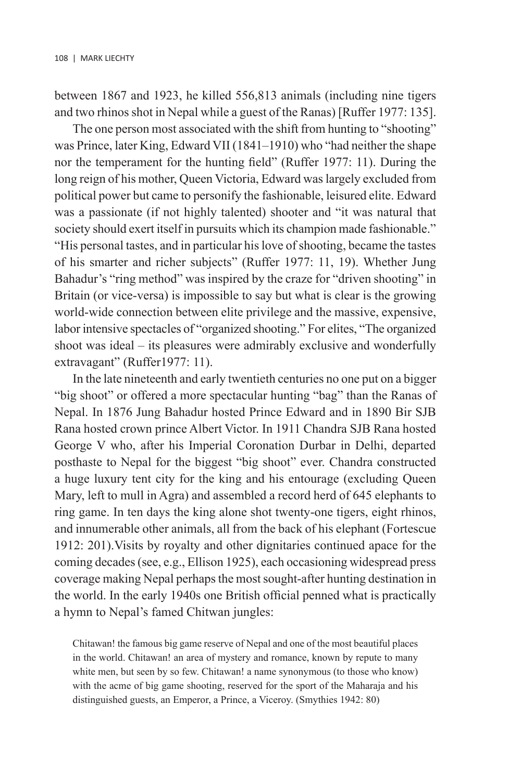between 1867 and 1923, he killed 556,813 animals (including nine tigers and two rhinos shot in Nepal while a guest of the Ranas) [Ruffer 1977: 135].

The one person most associated with the shift from hunting to "shooting" was Prince, later King, Edward VII (1841–1910) who "had neither the shape nor the temperament for the hunting field" (Ruffer 1977: 11). During the long reign of his mother, Queen Victoria, Edward was largely excluded from political power but came to personify the fashionable, leisured elite. Edward was a passionate (if not highly talented) shooter and "it was natural that society should exert itself in pursuits which its champion made fashionable."

"His personal tastes, and in particular his love of shooting, became the tastes of his smarter and richer subjects" (Ruffer 1977: 11, 19). Whether Jung Bahadur's "ring method" was inspired by the craze for "driven shooting" in Britain (or vice-versa) is impossible to say but what is clear is the growing world-wide connection between elite privilege and the massive, expensive, labor intensive spectacles of "organized shooting." For elites, "The organized shoot was ideal – its pleasures were admirably exclusive and wonderfully extravagant" (Ruffer1977: 11).

In the late nineteenth and early twentieth centuries no one put on a bigger "big shoot" or offered a more spectacular hunting "bag" than the Ranas of Nepal. In 1876 Jung Bahadur hosted Prince Edward and in 1890 Bir SJB Rana hosted crown prince Albert Victor. In 1911 Chandra SJB Rana hosted George V who, after his Imperial Coronation Durbar in Delhi, departed posthaste to Nepal for the biggest "big shoot" ever. Chandra constructed a huge luxury tent city for the king and his entourage (excluding Queen Mary, left to mull in Agra) and assembled a record herd of 645 elephants to ring game. In ten days the king alone shot twenty-one tigers, eight rhinos, and innumerable other animals, all from the back of his elephant (Fortescue 1912: 201).Visits by royalty and other dignitaries continued apace for the coming decades (see, e.g., Ellison 1925), each occasioning widespread press coverage making Nepal perhaps the most sought-after hunting destination in the world. In the early 1940s one British official penned what is practically a hymn to Nepal's famed Chitwan jungles:

Chitawan! the famous big game reserve of Nepal and one of the most beautiful places in the world. Chitawan! an area of mystery and romance, known by repute to many white men, but seen by so few. Chitawan! a name synonymous (to those who know) with the acme of big game shooting, reserved for the sport of the Maharaja and his distinguished guests, an Emperor, a Prince, a Viceroy. (Smythies 1942: 80)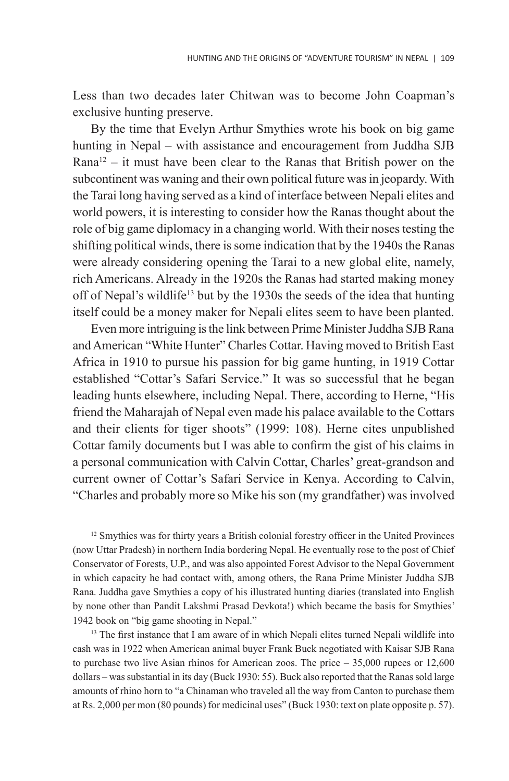Less than two decades later Chitwan was to become John Coapman's exclusive hunting preserve.

By the time that Evelyn Arthur Smythies wrote his book on big game hunting in Nepal – with assistance and encouragement from Juddha SJB  $Rana<sup>12</sup> - it must have been clear to the Ranas that British power on the$ subcontinent was waning and their own political future was in jeopardy. With the Tarai long having served as a kind of interface between Nepali elites and world powers, it is interesting to consider how the Ranas thought about the role of big game diplomacy in a changing world. With their noses testing the shifting political winds, there is some indication that by the 1940s the Ranas were already considering opening the Tarai to a new global elite, namely, rich Americans. Already in the 1920s the Ranas had started making money off of Nepal's wildlife13 but by the 1930s the seeds of the idea that hunting itself could be a money maker for Nepali elites seem to have been planted.

Even more intriguing is the link between Prime Minister Juddha SJB Rana and American "White Hunter" Charles Cottar. Having moved to British East Africa in 1910 to pursue his passion for big game hunting, in 1919 Cottar established "Cottar's Safari Service." It was so successful that he began leading hunts elsewhere, including Nepal. There, according to Herne, "His friend the Maharajah of Nepal even made his palace available to the Cottars and their clients for tiger shoots" (1999: 108). Herne cites unpublished Cottar family documents but I was able to confirm the gist of his claims in a personal communication with Calvin Cottar, Charles' great-grandson and current owner of Cottar's Safari Service in Kenya. According to Calvin, "Charles and probably more so Mike his son (my grandfather) was involved

<sup>12</sup> Smythies was for thirty years a British colonial forestry officer in the United Provinces (now Uttar Pradesh) in northern India bordering Nepal. He eventually rose to the post of Chief Conservator of Forests, U.P., and was also appointed Forest Advisor to the Nepal Government in which capacity he had contact with, among others, the Rana Prime Minister Juddha SJB Rana. Juddha gave Smythies a copy of his illustrated hunting diaries (translated into English by none other than Pandit Lakshmi Prasad Devkota!) which became the basis for Smythies' 1942 book on "big game shooting in Nepal."

<sup>13</sup> The first instance that I am aware of in which Nepali elites turned Nepali wildlife into cash was in 1922 when American animal buyer Frank Buck negotiated with Kaisar SJB Rana to purchase two live Asian rhinos for American zoos. The price – 35,000 rupees or 12,600 dollars – was substantial in its day (Buck 1930: 55). Buck also reported that the Ranas sold large amounts of rhino horn to "a Chinaman who traveled all the way from Canton to purchase them at Rs. 2,000 per mon (80 pounds) for medicinal uses" (Buck 1930: text on plate opposite p. 57).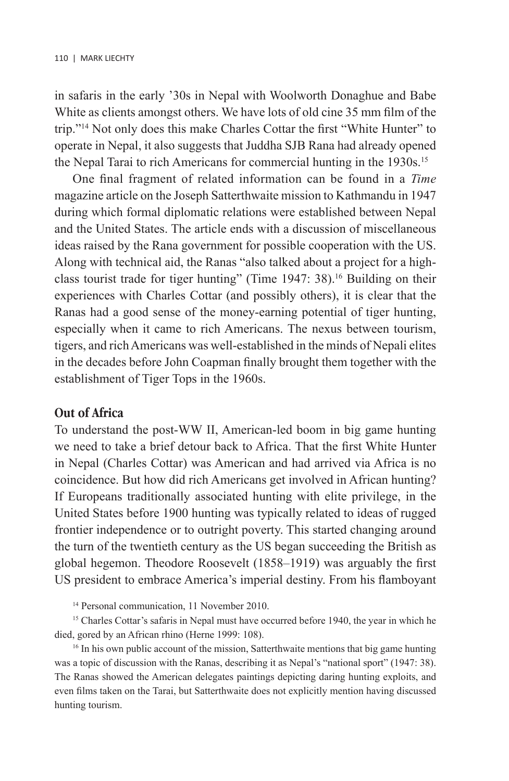in safaris in the early '30s in Nepal with Woolworth Donaghue and Babe White as clients amongst others. We have lots of old cine 35 mm film of the trip."<sup>14</sup> Not only does this make Charles Cottar the first "White Hunter" to operate in Nepal, it also suggests that Juddha SJB Rana had already opened the Nepal Tarai to rich Americans for commercial hunting in the 1930s.<sup>15</sup>

One final fragment of related information can be found in a *Time* magazine article on the Joseph Satterthwaite mission to Kathmandu in 1947 during which formal diplomatic relations were established between Nepal and the United States. The article ends with a discussion of miscellaneous ideas raised by the Rana government for possible cooperation with the US. Along with technical aid, the Ranas "also talked about a project for a highclass tourist trade for tiger hunting" (Time 1947: 38).<sup>16</sup> Building on their experiences with Charles Cottar (and possibly others), it is clear that the Ranas had a good sense of the money-earning potential of tiger hunting, especially when it came to rich Americans. The nexus between tourism, tigers, and rich Americans was well-established in the minds of Nepali elites in the decades before John Coapman finally brought them together with the establishment of Tiger Tops in the 1960s.

# **Out of Africa**

To understand the post-WW II, American-led boom in big game hunting we need to take a brief detour back to Africa. That the first White Hunter in Nepal (Charles Cottar) was American and had arrived via Africa is no coincidence. But how did rich Americans get involved in African hunting? If Europeans traditionally associated hunting with elite privilege, in the United States before 1900 hunting was typically related to ideas of rugged frontier independence or to outright poverty. This started changing around the turn of the twentieth century as the US began succeeding the British as global hegemon. Theodore Roosevelt (1858–1919) was arguably the first US president to embrace America's imperial destiny. From his flamboyant

14 Personal communication, 11 November 2010.

<sup>15</sup> Charles Cottar's safaris in Nepal must have occurred before 1940, the year in which he died, gored by an African rhino (Herne 1999: 108).

<sup>16</sup> In his own public account of the mission, Satterthwaite mentions that big game hunting was a topic of discussion with the Ranas, describing it as Nepal's "national sport" (1947: 38). The Ranas showed the American delegates paintings depicting daring hunting exploits, and even films taken on the Tarai, but Satterthwaite does not explicitly mention having discussed hunting tourism.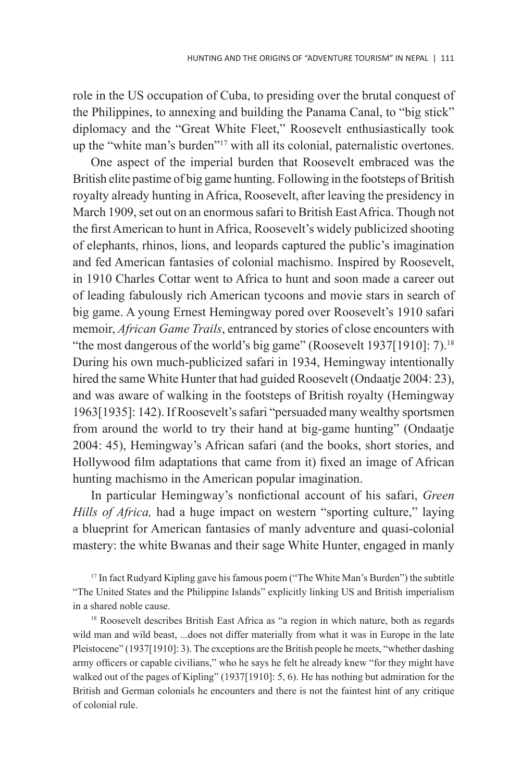role in the US occupation of Cuba, to presiding over the brutal conquest of the Philippines, to annexing and building the Panama Canal, to "big stick" diplomacy and the "Great White Fleet," Roosevelt enthusiastically took up the "white man's burden"17 with all its colonial, paternalistic overtones.

One aspect of the imperial burden that Roosevelt embraced was the British elite pastime of big game hunting. Following in the footsteps of British royalty already hunting in Africa, Roosevelt, after leaving the presidency in March 1909, set out on an enormous safari to British East Africa. Though not the first American to hunt in Africa, Roosevelt's widely publicized shooting of elephants, rhinos, lions, and leopards captured the public's imagination and fed American fantasies of colonial machismo. Inspired by Roosevelt, in 1910 Charles Cottar went to Africa to hunt and soon made a career out of leading fabulously rich American tycoons and movie stars in search of big game. A young Ernest Hemingway pored over Roosevelt's 1910 safari memoir, *African Game Trails*, entranced by stories of close encounters with "the most dangerous of the world's big game" (Roosevelt 1937[1910]: 7).<sup>18</sup> During his own much-publicized safari in 1934, Hemingway intentionally hired the same White Hunter that had guided Roosevelt (Ondaatje 2004: 23), and was aware of walking in the footsteps of British royalty (Hemingway 1963[1935]: 142). If Roosevelt's safari "persuaded many wealthy sportsmen from around the world to try their hand at big-game hunting" (Ondaatje 2004: 45), Hemingway's African safari (and the books, short stories, and Hollywood film adaptations that came from it) fixed an image of African hunting machismo in the American popular imagination.

In particular Hemingway's nonfictional account of his safari, *Green Hills of Africa*, had a huge impact on western "sporting culture," laying a blueprint for American fantasies of manly adventure and quasi-colonial mastery: the white Bwanas and their sage White Hunter, engaged in manly

<sup>17</sup> In fact Rudyard Kipling gave his famous poem ("The White Man's Burden") the subtitle "The United States and the Philippine Islands" explicitly linking US and British imperialism in a shared noble cause.

<sup>18</sup> Roosevelt describes British East Africa as "a region in which nature, both as regards wild man and wild beast, ...does not differ materially from what it was in Europe in the late Pleistocene" (1937[1910]: 3). The exceptions are the British people he meets, "whether dashing army officers or capable civilians," who he says he felt he already knew "for they might have walked out of the pages of Kipling" (1937[1910]: 5, 6). He has nothing but admiration for the British and German colonials he encounters and there is not the faintest hint of any critique of colonial rule.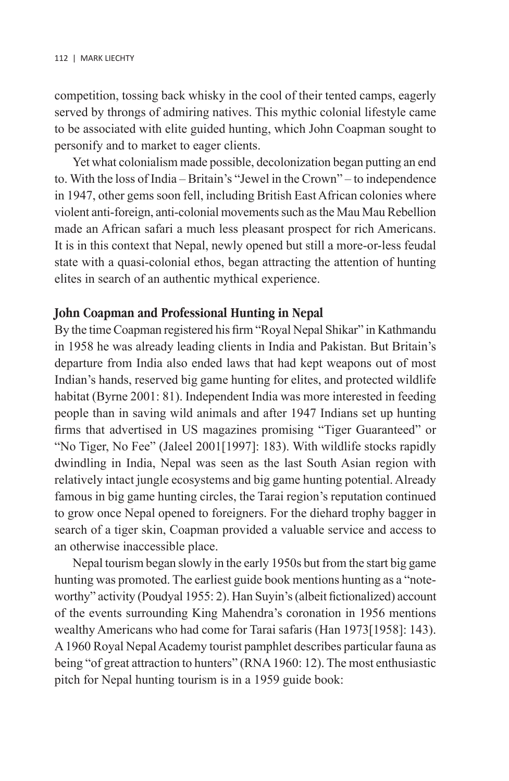competition, tossing back whisky in the cool of their tented camps, eagerly served by throngs of admiring natives. This mythic colonial lifestyle came to be associated with elite guided hunting, which John Coapman sought to personify and to market to eager clients.

Yet what colonialism made possible, decolonization began putting an end to. With the loss of India – Britain's "Jewel in the Crown" – to independence in 1947, other gems soon fell, including British East African colonies where violent anti-foreign, anti-colonial movements such as the Mau Mau Rebellion made an African safari a much less pleasant prospect for rich Americans. It is in this context that Nepal, newly opened but still a more-or-less feudal state with a quasi-colonial ethos, began attracting the attention of hunting elites in search of an authentic mythical experience.

# **John Coapman and Professional Hunting in Nepal**

By the time Coapman registered his firm "Royal Nepal Shikar" in Kathmandu in 1958 he was already leading clients in India and Pakistan. But Britain's departure from India also ended laws that had kept weapons out of most Indian's hands, reserved big game hunting for elites, and protected wildlife habitat (Byrne 2001: 81). Independent India was more interested in feeding people than in saving wild animals and after 1947 Indians set up hunting firms that advertised in US magazines promising "Tiger Guaranteed" or "No Tiger, No Fee" (Jaleel 2001[1997]: 183). With wildlife stocks rapidly dwindling in India, Nepal was seen as the last South Asian region with relatively intact jungle ecosystems and big game hunting potential. Already famous in big game hunting circles, the Tarai region's reputation continued to grow once Nepal opened to foreigners. For the diehard trophy bagger in search of a tiger skin, Coapman provided a valuable service and access to an otherwise inaccessible place.

Nepal tourism began slowly in the early 1950s but from the start big game hunting was promoted. The earliest guide book mentions hunting as a "noteworthy" activity (Poudyal 1955: 2). Han Suyin's (albeit fictionalized) account of the events surrounding King Mahendra's coronation in 1956 mentions wealthy Americans who had come for Tarai safaris (Han 1973[1958]: 143). A 1960 Royal Nepal Academy tourist pamphlet describes particular fauna as being "of great attraction to hunters" (RNA 1960: 12). The most enthusiastic pitch for Nepal hunting tourism is in a 1959 guide book: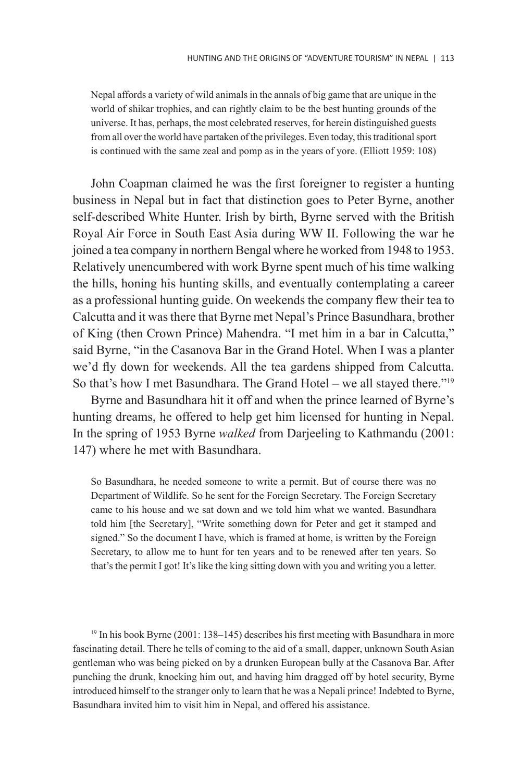Nepal affords a variety of wild animals in the annals of big game that are unique in the world of shikar trophies, and can rightly claim to be the best hunting grounds of the universe. It has, perhaps, the most celebrated reserves, for herein distinguished guests from all over the world have partaken of the privileges. Even today, this traditional sport is continued with the same zeal and pomp as in the years of yore. (Elliott 1959: 108)

John Coapman claimed he was the first foreigner to register a hunting business in Nepal but in fact that distinction goes to Peter Byrne, another self-described White Hunter. Irish by birth, Byrne served with the British Royal Air Force in South East Asia during WW II. Following the war he joined a tea company in northern Bengal where he worked from 1948 to 1953. Relatively unencumbered with work Byrne spent much of his time walking the hills, honing his hunting skills, and eventually contemplating a career as a professional hunting guide. On weekends the company flew their tea to Calcutta and it was there that Byrne met Nepal's Prince Basundhara, brother of King (then Crown Prince) Mahendra. "I met him in a bar in Calcutta," said Byrne, "in the Casanova Bar in the Grand Hotel. When I was a planter we'd fly down for weekends. All the tea gardens shipped from Calcutta. So that's how I met Basundhara. The Grand Hotel – we all stayed there."<sup>19</sup>

Byrne and Basundhara hit it off and when the prince learned of Byrne's hunting dreams, he offered to help get him licensed for hunting in Nepal. In the spring of 1953 Byrne *walked* from Darjeeling to Kathmandu (2001: 147) where he met with Basundhara.

So Basundhara, he needed someone to write a permit. But of course there was no Department of Wildlife. So he sent for the Foreign Secretary. The Foreign Secretary came to his house and we sat down and we told him what we wanted. Basundhara told him [the Secretary], "Write something down for Peter and get it stamped and signed." So the document I have, which is framed at home, is written by the Foreign Secretary, to allow me to hunt for ten years and to be renewed after ten years. So that's the permit I got! It's like the king sitting down with you and writing you a letter.

<sup>19</sup> In his book Byrne (2001: 138-145) describes his first meeting with Basundhara in more fascinating detail. There he tells of coming to the aid of a small, dapper, unknown South Asian gentleman who was being picked on by a drunken European bully at the Casanova Bar. After punching the drunk, knocking him out, and having him dragged off by hotel security, Byrne introduced himself to the stranger only to learn that he was a Nepali prince! Indebted to Byrne, Basundhara invited him to visit him in Nepal, and offered his assistance.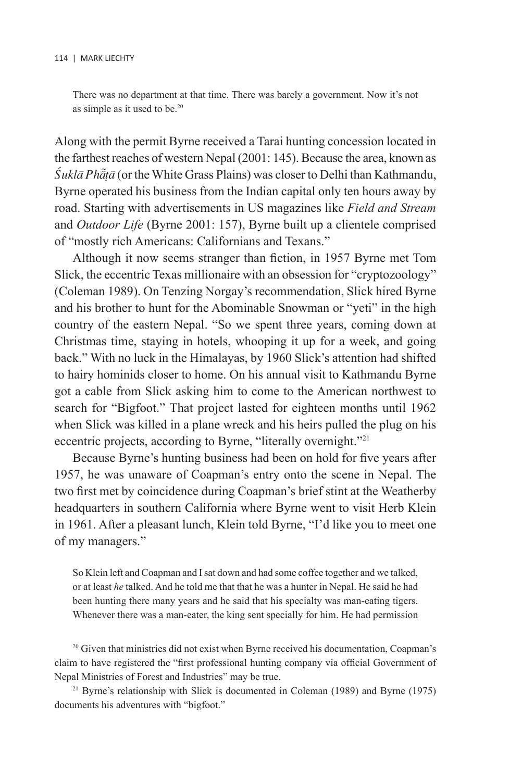#### 114 | MARK LIECHTY

There was no department at that time. There was barely a government. Now it's not as simple as it used to be.20

Along with the permit Byrne received a Tarai hunting concession located in the farthest reaches of western Nepal (2001: 145). Because the area, known as *øuklà Phƒñà* (or the White Grass Plains) was closer to Delhi than Kathmandu, Byrne operated his business from the Indian capital only ten hours away by road. Starting with advertisements in US magazines like *Field and Stream* and *Outdoor Life* (Byrne 2001: 157), Byrne built up a clientele comprised of "mostly rich Americans: Californians and Texans."

Although it now seems stranger than fiction, in 1957 Byrne met Tom Slick, the eccentric Texas millionaire with an obsession for "cryptozoology" (Coleman 1989). On Tenzing Norgay's recommendation, Slick hired Byrne and his brother to hunt for the Abominable Snowman or "yeti" in the high country of the eastern Nepal. "So we spent three years, coming down at Christmas time, staying in hotels, whooping it up for a week, and going back." With no luck in the Himalayas, by 1960 Slick's attention had shifted to hairy hominids closer to home. On his annual visit to Kathmandu Byrne got a cable from Slick asking him to come to the American northwest to search for "Bigfoot." That project lasted for eighteen months until 1962 when Slick was killed in a plane wreck and his heirs pulled the plug on his eccentric projects, according to Byrne, "literally overnight."<sup>21</sup>

Because Byrne's hunting business had been on hold for five years after 1957, he was unaware of Coapman's entry onto the scene in Nepal. The two first met by coincidence during Coapman's brief stint at the Weatherby headquarters in southern California where Byrne went to visit Herb Klein in 1961. After a pleasant lunch, Klein told Byrne, "I'd like you to meet one of my managers."

So Klein left and Coapman and I sat down and had some coffee together and we talked, or at least *he* talked. And he told me that that he was a hunter in Nepal. He said he had been hunting there many years and he said that his specialty was man-eating tigers. Whenever there was a man-eater, the king sent specially for him. He had permission

<sup>20</sup> Given that ministries did not exist when Byrne received his documentation, Coapman's claim to have registered the "first professional hunting company via official Government of Nepal Ministries of Forest and Industries" may be true.

21 Byrne's relationship with Slick is documented in Coleman (1989) and Byrne (1975) documents his adventures with "bigfoot."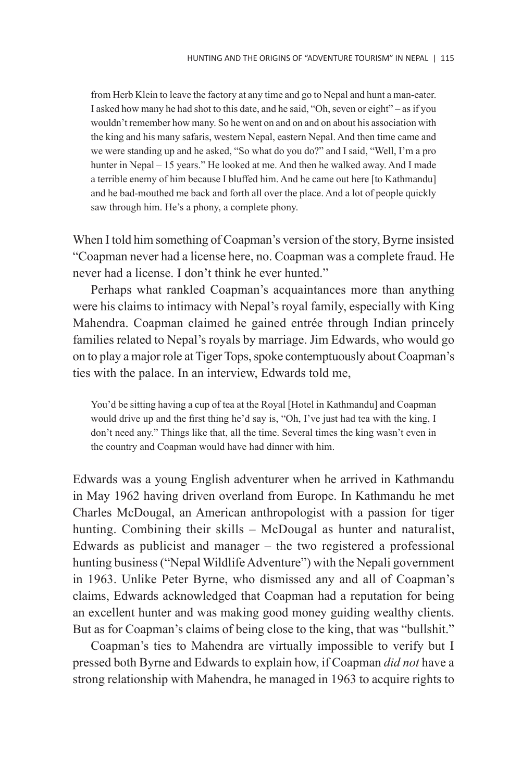from Herb Klein to leave the factory at any time and go to Nepal and hunt a man-eater. I asked how many he had shot to this date, and he said, "Oh, seven or eight" – as if you wouldn't remember how many. So he went on and on and on about his association with the king and his many safaris, western Nepal, eastern Nepal. And then time came and we were standing up and he asked, "So what do you do?" and I said, "Well, I'm a pro hunter in Nepal – 15 years." He looked at me. And then he walked away. And I made a terrible enemy of him because I bluffed him. And he came out here [to Kathmandu] and he bad-mouthed me back and forth all over the place. And a lot of people quickly saw through him. He's a phony, a complete phony.

When I told him something of Coapman's version of the story, Byrne insisted "Coapman never had a license here, no. Coapman was a complete fraud. He never had a license. I don't think he ever hunted."

Perhaps what rankled Coapman's acquaintances more than anything were his claims to intimacy with Nepal's royal family, especially with King Mahendra. Coapman claimed he gained entrée through Indian princely families related to Nepal's royals by marriage. Jim Edwards, who would go on to play a major role at Tiger Tops, spoke contemptuously about Coapman's ties with the palace. In an interview, Edwards told me,

You'd be sitting having a cup of tea at the Royal [Hotel in Kathmandu] and Coapman would drive up and the first thing he'd say is, "Oh, I've just had tea with the king, I don't need any." Things like that, all the time. Several times the king wasn't even in the country and Coapman would have had dinner with him.

Edwards was a young English adventurer when he arrived in Kathmandu in May 1962 having driven overland from Europe. In Kathmandu he met Charles McDougal, an American anthropologist with a passion for tiger hunting. Combining their skills – McDougal as hunter and naturalist, Edwards as publicist and manager – the two registered a professional hunting business ("Nepal Wildlife Adventure") with the Nepali government in 1963. Unlike Peter Byrne, who dismissed any and all of Coapman's claims, Edwards acknowledged that Coapman had a reputation for being an excellent hunter and was making good money guiding wealthy clients. But as for Coapman's claims of being close to the king, that was "bullshit."

Coapman's ties to Mahendra are virtually impossible to verify but I pressed both Byrne and Edwards to explain how, if Coapman *did not* have a strong relationship with Mahendra, he managed in 1963 to acquire rights to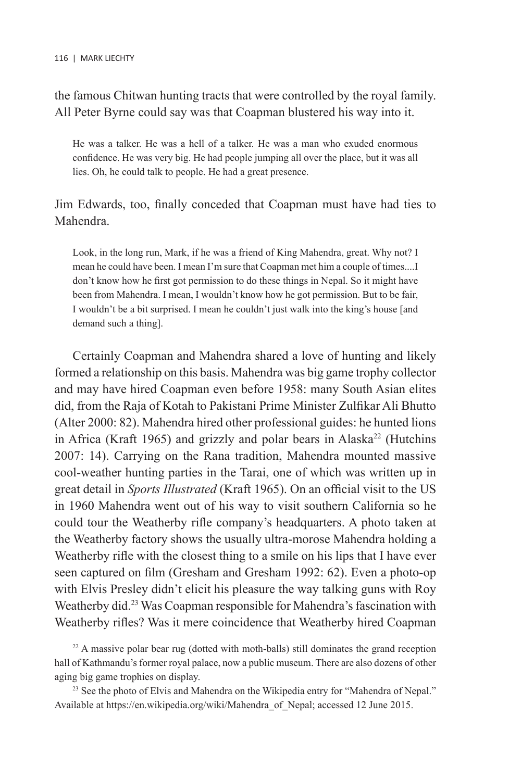# the famous Chitwan hunting tracts that were controlled by the royal family. All Peter Byrne could say was that Coapman blustered his way into it.

He was a talker. He was a hell of a talker. He was a man who exuded enormous confidence. He was very big. He had people jumping all over the place, but it was all lies. Oh, he could talk to people. He had a great presence.

# Jim Edwards, too, finally conceded that Coapman must have had ties to Mahendra.

Look, in the long run, Mark, if he was a friend of King Mahendra, great. Why not? I mean he could have been. I mean I'm sure that Coapman met him a couple of times....I don't know how he first got permission to do these things in Nepal. So it might have been from Mahendra. I mean, I wouldn't know how he got permission. But to be fair, I wouldn't be a bit surprised. I mean he couldn't just walk into the king's house [and demand such a thing].

Certainly Coapman and Mahendra shared a love of hunting and likely formed a relationship on this basis. Mahendra was big game trophy collector and may have hired Coapman even before 1958: many South Asian elites did, from the Raja of Kotah to Pakistani Prime Minister Zulfikar Ali Bhutto (Alter 2000: 82). Mahendra hired other professional guides: he hunted lions in Africa (Kraft 1965) and grizzly and polar bears in Alaska<sup>22</sup> (Hutchins 2007: 14). Carrying on the Rana tradition, Mahendra mounted massive cool-weather hunting parties in the Tarai, one of which was written up in great detail in *Sports Illustrated* (Kraft 1965). On an official visit to the US in 1960 Mahendra went out of his way to visit southern California so he could tour the Weatherby rifle company's headquarters. A photo taken at the Weatherby factory shows the usually ultra-morose Mahendra holding a Weatherby rifle with the closest thing to a smile on his lips that I have ever seen captured on film (Gresham and Gresham 1992: 62). Even a photo-op with Elvis Presley didn't elicit his pleasure the way talking guns with Roy Weatherby did.23 Was Coapman responsible for Mahendra's fascination with Weatherby rifles? Was it mere coincidence that Weatherby hired Coapman

<sup>22</sup> A massive polar bear rug (dotted with moth-balls) still dominates the grand reception hall of Kathmandu's former royal palace, now a public museum. There are also dozens of other aging big game trophies on display.

<sup>23</sup> See the photo of Elvis and Mahendra on the Wikipedia entry for "Mahendra of Nepal." Available at https://en.wikipedia.org/wiki/Mahendra\_of\_Nepal; accessed 12 June 2015.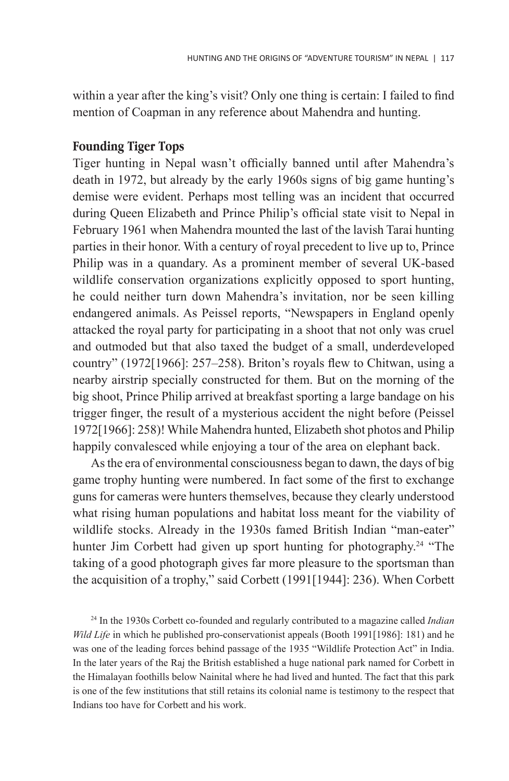within a year after the king's visit? Only one thing is certain: I failed to find mention of Coapman in any reference about Mahendra and hunting.

# **Founding Tiger Tops**

Tiger hunting in Nepal wasn't officially banned until after Mahendra's death in 1972, but already by the early 1960s signs of big game hunting's demise were evident. Perhaps most telling was an incident that occurred during Queen Elizabeth and Prince Philip's official state visit to Nepal in February 1961 when Mahendra mounted the last of the lavish Tarai hunting parties in their honor. With a century of royal precedent to live up to, Prince Philip was in a quandary. As a prominent member of several UK-based wildlife conservation organizations explicitly opposed to sport hunting, he could neither turn down Mahendra's invitation, nor be seen killing endangered animals. As Peissel reports, "Newspapers in England openly attacked the royal party for participating in a shoot that not only was cruel and outmoded but that also taxed the budget of a small, underdeveloped country" (1972[1966]: 257–258). Briton's royals flew to Chitwan, using a nearby airstrip specially constructed for them. But on the morning of the big shoot, Prince Philip arrived at breakfast sporting a large bandage on his trigger finger, the result of a mysterious accident the night before (Peissel 1972[1966]: 258)! While Mahendra hunted, Elizabeth shot photos and Philip happily convalesced while enjoying a tour of the area on elephant back.

As the era of environmental consciousness began to dawn, the days of big game trophy hunting were numbered. In fact some of the first to exchange guns for cameras were hunters themselves, because they clearly understood what rising human populations and habitat loss meant for the viability of wildlife stocks. Already in the 1930s famed British Indian "man-eater" hunter Jim Corbett had given up sport hunting for photography.<sup>24</sup> "The taking of a good photograph gives far more pleasure to the sportsman than the acquisition of a trophy," said Corbett (1991[1944]: 236). When Corbett

24 In the 1930s Corbett co-founded and regularly contributed to a magazine called *Indian Wild Life* in which he published pro-conservationist appeals (Booth 1991[1986]: 181) and he was one of the leading forces behind passage of the 1935 "Wildlife Protection Act" in India. In the later years of the Raj the British established a huge national park named for Corbett in the Himalayan foothills below Nainital where he had lived and hunted. The fact that this park is one of the few institutions that still retains its colonial name is testimony to the respect that Indians too have for Corbett and his work.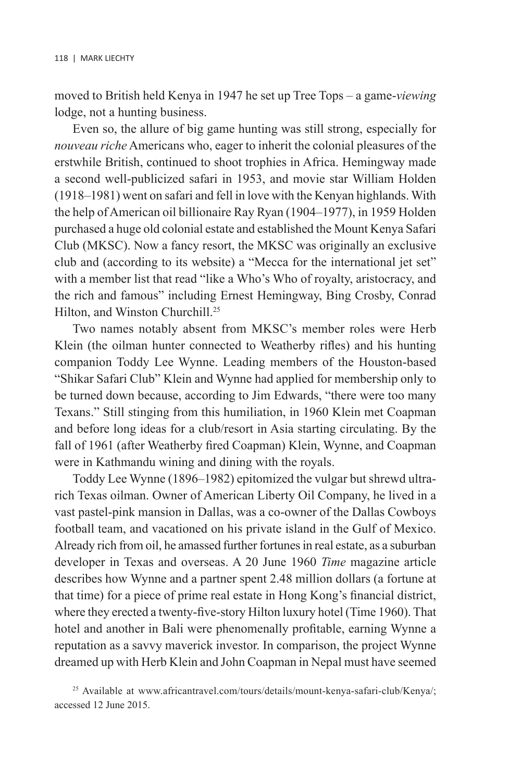moved to British held Kenya in 1947 he set up Tree Tops – a game-*viewing* lodge, not a hunting business.

Even so, the allure of big game hunting was still strong, especially for *nouveau riche* Americans who, eager to inherit the colonial pleasures of the erstwhile British, continued to shoot trophies in Africa. Hemingway made a second well-publicized safari in 1953, and movie star William Holden (1918–1981) went on safari and fell in love with the Kenyan highlands. With the help of American oil billionaire Ray Ryan (1904–1977), in 1959 Holden purchased a huge old colonial estate and established the Mount Kenya Safari Club (MKSC). Now a fancy resort, the MKSC was originally an exclusive club and (according to its website) a "Mecca for the international jet set" with a member list that read "like a Who's Who of royalty, aristocracy, and the rich and famous" including Ernest Hemingway, Bing Crosby, Conrad Hilton, and Winston Churchill.<sup>25</sup>

Two names notably absent from MKSC's member roles were Herb Klein (the oilman hunter connected to Weatherby rifles) and his hunting companion Toddy Lee Wynne. Leading members of the Houston-based "Shikar Safari Club" Klein and Wynne had applied for membership only to be turned down because, according to Jim Edwards, "there were too many Texans." Still stinging from this humiliation, in 1960 Klein met Coapman and before long ideas for a club/resort in Asia starting circulating. By the fall of 1961 (after Weatherby fired Coapman) Klein, Wynne, and Coapman were in Kathmandu wining and dining with the royals.

Toddy Lee Wynne (1896–1982) epitomized the vulgar but shrewd ultrarich Texas oilman. Owner of American Liberty Oil Company, he lived in a vast pastel-pink mansion in Dallas, was a co-owner of the Dallas Cowboys football team, and vacationed on his private island in the Gulf of Mexico. Already rich from oil, he amassed further fortunes in real estate, as a suburban developer in Texas and overseas. A 20 June 1960 *Time* magazine article describes how Wynne and a partner spent 2.48 million dollars (a fortune at that time) for a piece of prime real estate in Hong Kong's financial district, where they erected a twenty-five-story Hilton luxury hotel (Time 1960). That hotel and another in Bali were phenomenally profitable, earning Wynne a reputation as a savvy maverick investor. In comparison, the project Wynne dreamed up with Herb Klein and John Coapman in Nepal must have seemed

<sup>25</sup> Available at www.africantravel.com/tours/details/mount-kenya-safari-club/Kenya/; accessed 12 June 2015.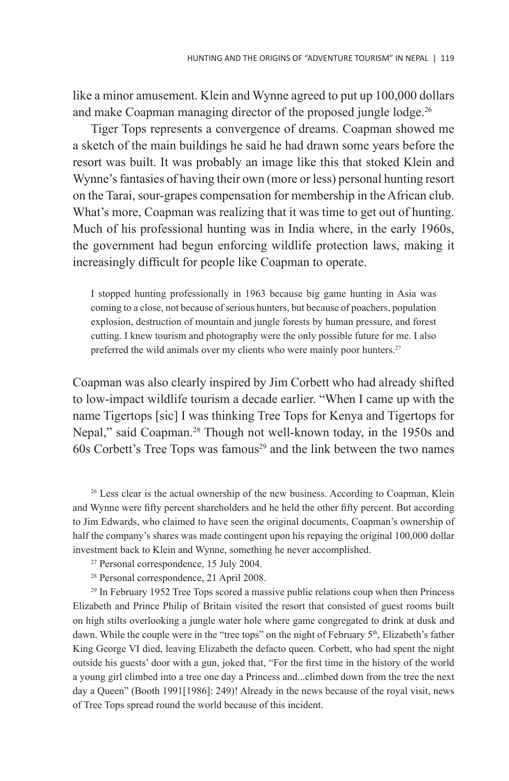like a minor amusement. Klein and Wynne agreed to put up 100,000 dollars and make Coapman managing director of the proposed jungle lodge.<sup>26</sup>

Tiger Tops represents a convergence of dreams. Coapman showed me a sketch of the main buildings he said he had drawn some years before the resort was built. It was probably an image like this that stoked Klein and Wynne's fantasies of having their own (more or less) personal hunting resort on the Tarai, sour-grapes compensation for membership in the African club. What's more, Coapman was realizing that it was time to get out of hunting. Much of his professional hunting was in India where, in the early 1960s, the government had begun enforcing wildlife protection laws, making it increasingly difficult for people like Coapman to operate.

I stopped hunting professionally in 1963 because big game hunting in Asia was coming to a close, not because of serious hunters, but because of poachers, population explosion, destruction of mountain and jungle forests by human pressure, and forest cutting. I knew tourism and photography were the only possible future for me. I also preferred the wild animals over my clients who were mainly poor hunters.<sup>27</sup>

Coapman was also clearly inspired by Jim Corbett who had already shifted to low-impact wildlife tourism a decade earlier. "When I came up with the name Tigertops [sic] I was thinking Tree Tops for Kenya and Tigertops for Nepal," said Coapman.<sup>28</sup> Though not well-known today, in the 1950s and  $60s$  Corbett's Tree Tops was famous<sup>29</sup> and the link between the two names

<sup>26</sup> Less clear is the actual ownership of the new business. According to Coapman, Klein and Wynne were fifty percent shareholders and he held the other fifty percent. But according to Jim Edwards, who claimed to have seen the original documents, Coapman's ownership of half the company's shares was made contingent upon his repaying the original 100,000 dollar investment back to Klein and Wynne, something he never accomplished.

- 27 Personal correspondence, 15 July 2004.
- 28 Personal correspondence, 21 April 2008.

<sup>29</sup> In February 1952 Tree Tops scored a massive public relations coup when then Princess Elizabeth and Prince Philip of Britain visited the resort that consisted of guest rooms built on high stilts overlooking a jungle water hole where game congregated to drink at dusk and dawn. While the couple were in the "tree tops" on the night of February 5<sup>th</sup>, Elizabeth's father King George VI died, leaving Elizabeth the defacto queen. Corbett, who had spent the night outside his guests' door with a gun, joked that, "For the first time in the history of the world a young girl climbed into a tree one day a Princess and...climbed down from the tree the next day a Queen" (Booth 1991[1986]: 249)! Already in the news because of the royal visit, news of Tree Tops spread round the world because of this incident.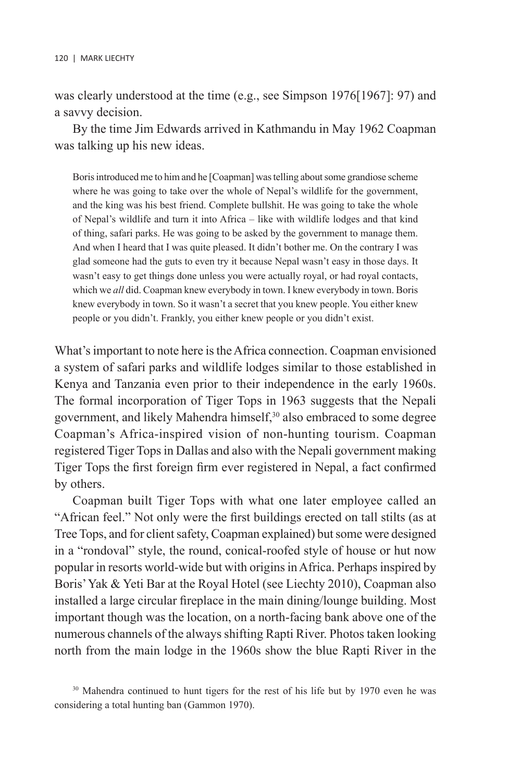was clearly understood at the time (e.g., see Simpson 1976[1967]: 97) and a savvy decision.

By the time Jim Edwards arrived in Kathmandu in May 1962 Coapman was talking up his new ideas.

Boris introduced me to him and he [Coapman] was telling about some grandiose scheme where he was going to take over the whole of Nepal's wildlife for the government, and the king was his best friend. Complete bullshit. He was going to take the whole of Nepal's wildlife and turn it into Africa – like with wildlife lodges and that kind of thing, safari parks. He was going to be asked by the government to manage them. And when I heard that I was quite pleased. It didn't bother me. On the contrary I was glad someone had the guts to even try it because Nepal wasn't easy in those days. It wasn't easy to get things done unless you were actually royal, or had royal contacts, which we *all* did. Coapman knew everybody in town. I knew everybody in town. Boris knew everybody in town. So it wasn't a secret that you knew people. You either knew people or you didn't. Frankly, you either knew people or you didn't exist.

What's important to note here is the Africa connection. Coapman envisioned a system of safari parks and wildlife lodges similar to those established in Kenya and Tanzania even prior to their independence in the early 1960s. The formal incorporation of Tiger Tops in 1963 suggests that the Nepali government, and likely Mahendra himself,<sup>30</sup> also embraced to some degree Coapman's Africa-inspired vision of non-hunting tourism. Coapman registered Tiger Tops in Dallas and also with the Nepali government making Tiger Tops the first foreign firm ever registered in Nepal, a fact confirmed by others.

Coapman built Tiger Tops with what one later employee called an "African feel." Not only were the first buildings erected on tall stilts (as at Tree Tops, and for client safety, Coapman explained) but some were designed in a "rondoval" style, the round, conical-roofed style of house or hut now popular in resorts world-wide but with origins in Africa. Perhaps inspired by Boris' Yak & Yeti Bar at the Royal Hotel (see Liechty 2010), Coapman also installed a large circular fireplace in the main dining/lounge building. Most important though was the location, on a north-facing bank above one of the numerous channels of the always shifting Rapti River. Photos taken looking north from the main lodge in the 1960s show the blue Rapti River in the

<sup>30</sup> Mahendra continued to hunt tigers for the rest of his life but by 1970 even he was considering a total hunting ban (Gammon 1970).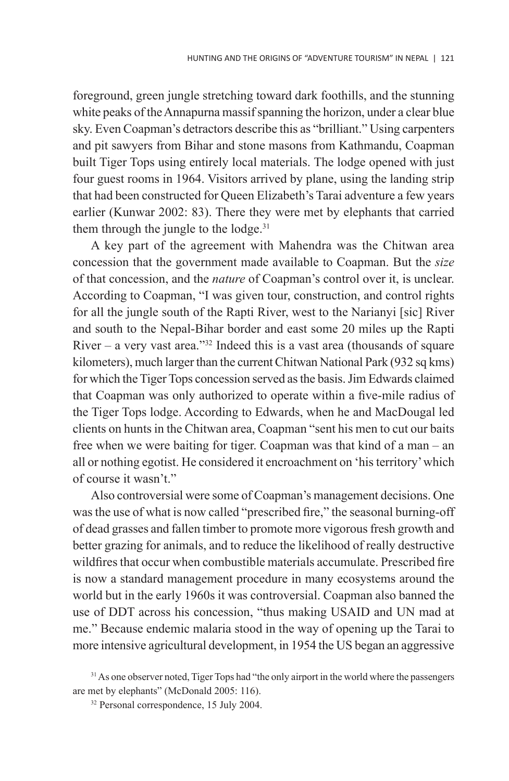foreground, green jungle stretching toward dark foothills, and the stunning white peaks of the Annapurna massif spanning the horizon, under a clear blue sky. Even Coapman's detractors describe this as "brilliant." Using carpenters and pit sawyers from Bihar and stone masons from Kathmandu, Coapman built Tiger Tops using entirely local materials. The lodge opened with just four guest rooms in 1964. Visitors arrived by plane, using the landing strip that had been constructed for Queen Elizabeth's Tarai adventure a few years earlier (Kunwar 2002: 83). There they were met by elephants that carried them through the jungle to the lodge.<sup>31</sup>

A key part of the agreement with Mahendra was the Chitwan area concession that the government made available to Coapman. But the *size* of that concession, and the *nature* of Coapman's control over it, is unclear. According to Coapman, "I was given tour, construction, and control rights for all the jungle south of the Rapti River, west to the Narianyi [sic] River and south to the Nepal-Bihar border and east some 20 miles up the Rapti River – a very vast area." $32$  Indeed this is a vast area (thousands of square kilometers), much larger than the current Chitwan National Park (932 sq kms) for which the Tiger Tops concession served as the basis. Jim Edwards claimed that Coapman was only authorized to operate within a five-mile radius of the Tiger Tops lodge. According to Edwards, when he and MacDougal led clients on hunts in the Chitwan area, Coapman "sent his men to cut our baits free when we were baiting for tiger. Coapman was that kind of a man – an all or nothing egotist. He considered it encroachment on 'his territory' which of course it wasn't."

Also controversial were some of Coapman's management decisions. One was the use of what is now called "prescribed fire," the seasonal burning-off of dead grasses and fallen timber to promote more vigorous fresh growth and better grazing for animals, and to reduce the likelihood of really destructive wildfires that occur when combustible materials accumulate. Prescribed fire is now a standard management procedure in many ecosystems around the world but in the early 1960s it was controversial. Coapman also banned the use of DDT across his concession, "thus making USAID and UN mad at me." Because endemic malaria stood in the way of opening up the Tarai to more intensive agricultural development, in 1954 the US began an aggressive

<sup>&</sup>lt;sup>31</sup> As one observer noted, Tiger Tops had "the only airport in the world where the passengers are met by elephants" (McDonald 2005: 116).

<sup>32</sup> Personal correspondence, 15 July 2004.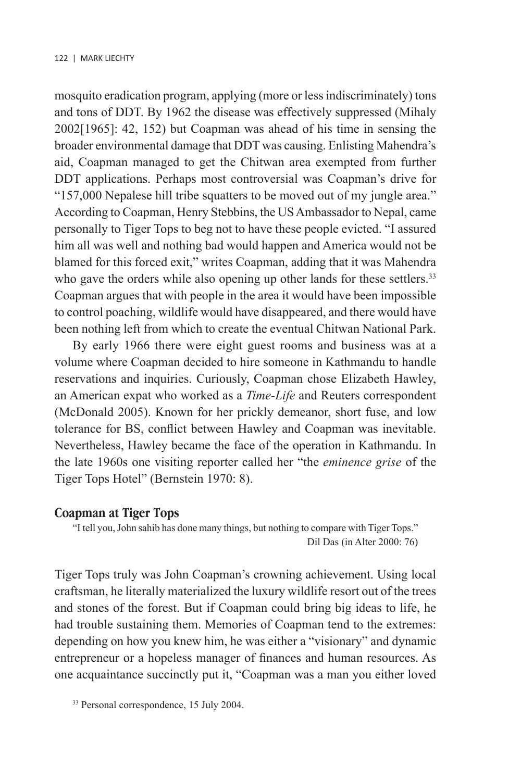mosquito eradication program, applying (more or less indiscriminately) tons and tons of DDT. By 1962 the disease was effectively suppressed (Mihaly 2002[1965]: 42, 152) but Coapman was ahead of his time in sensing the broader environmental damage that DDT was causing. Enlisting Mahendra's aid, Coapman managed to get the Chitwan area exempted from further DDT applications. Perhaps most controversial was Coapman's drive for "157,000 Nepalese hill tribe squatters to be moved out of my jungle area." According to Coapman, Henry Stebbins, the US Ambassador to Nepal, came personally to Tiger Tops to beg not to have these people evicted. "I assured him all was well and nothing bad would happen and America would not be blamed for this forced exit," writes Coapman, adding that it was Mahendra who gave the orders while also opening up other lands for these settlers.<sup>33</sup> Coapman argues that with people in the area it would have been impossible to control poaching, wildlife would have disappeared, and there would have been nothing left from which to create the eventual Chitwan National Park.

By early 1966 there were eight guest rooms and business was at a volume where Coapman decided to hire someone in Kathmandu to handle reservations and inquiries. Curiously, Coapman chose Elizabeth Hawley, an American expat who worked as a *Time-Life* and Reuters correspondent (McDonald 2005). Known for her prickly demeanor, short fuse, and low tolerance for BS, conflict between Hawley and Coapman was inevitable. Nevertheless, Hawley became the face of the operation in Kathmandu. In the late 1960s one visiting reporter called her "the *eminence grise* of the Tiger Tops Hotel" (Bernstein 1970: 8).

#### **Coapman at Tiger Tops**

"I tell you, John sahib has done many things, but nothing to compare with Tiger Tops." Dil Das (in Alter 2000: 76)

Tiger Tops truly was John Coapman's crowning achievement. Using local craftsman, he literally materialized the luxury wildlife resort out of the trees and stones of the forest. But if Coapman could bring big ideas to life, he had trouble sustaining them. Memories of Coapman tend to the extremes: depending on how you knew him, he was either a "visionary" and dynamic entrepreneur or a hopeless manager of finances and human resources. As one acquaintance succinctly put it, "Coapman was a man you either loved

<sup>33</sup> Personal correspondence, 15 July 2004.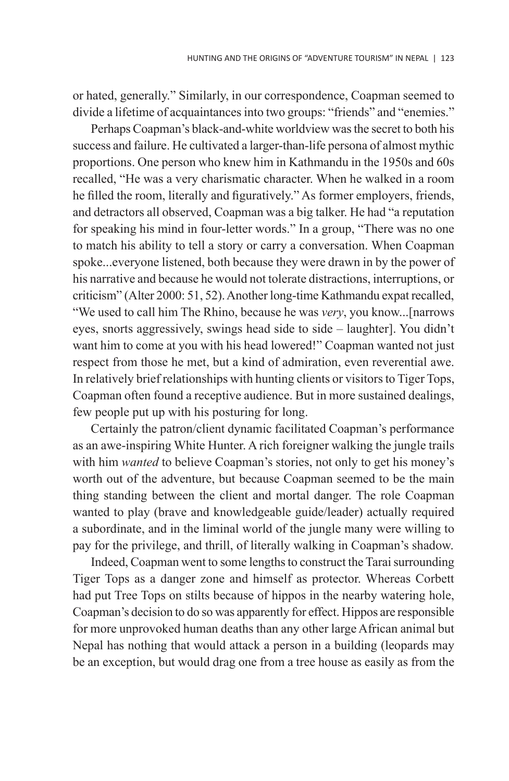or hated, generally." Similarly, in our correspondence, Coapman seemed to divide a lifetime of acquaintances into two groups: "friends" and "enemies."

Perhaps Coapman's black-and-white worldview was the secret to both his success and failure. He cultivated a larger-than-life persona of almost mythic proportions. One person who knew him in Kathmandu in the 1950s and 60s recalled, "He was a very charismatic character. When he walked in a room he filled the room, literally and figuratively." As former employers, friends, and detractors all observed, Coapman was a big talker. He had "a reputation for speaking his mind in four-letter words." In a group, "There was no one to match his ability to tell a story or carry a conversation. When Coapman spoke...everyone listened, both because they were drawn in by the power of his narrative and because he would not tolerate distractions, interruptions, or criticism" (Alter 2000: 51, 52). Another long-time Kathmandu expat recalled, "We used to call him The Rhino, because he was *very*, you know...[narrows eyes, snorts aggressively, swings head side to side – laughter]. You didn't want him to come at you with his head lowered!" Coapman wanted not just respect from those he met, but a kind of admiration, even reverential awe. In relatively brief relationships with hunting clients or visitors to Tiger Tops, Coapman often found a receptive audience. But in more sustained dealings, few people put up with his posturing for long.

Certainly the patron/client dynamic facilitated Coapman's performance as an awe-inspiring White Hunter. A rich foreigner walking the jungle trails with him *wanted* to believe Coapman's stories, not only to get his money's worth out of the adventure, but because Coapman seemed to be the main thing standing between the client and mortal danger. The role Coapman wanted to play (brave and knowledgeable guide/leader) actually required a subordinate, and in the liminal world of the jungle many were willing to pay for the privilege, and thrill, of literally walking in Coapman's shadow.

Indeed, Coapman went to some lengths to construct the Tarai surrounding Tiger Tops as a danger zone and himself as protector. Whereas Corbett had put Tree Tops on stilts because of hippos in the nearby watering hole, Coapman's decision to do so was apparently for effect. Hippos are responsible for more unprovoked human deaths than any other large African animal but Nepal has nothing that would attack a person in a building (leopards may be an exception, but would drag one from a tree house as easily as from the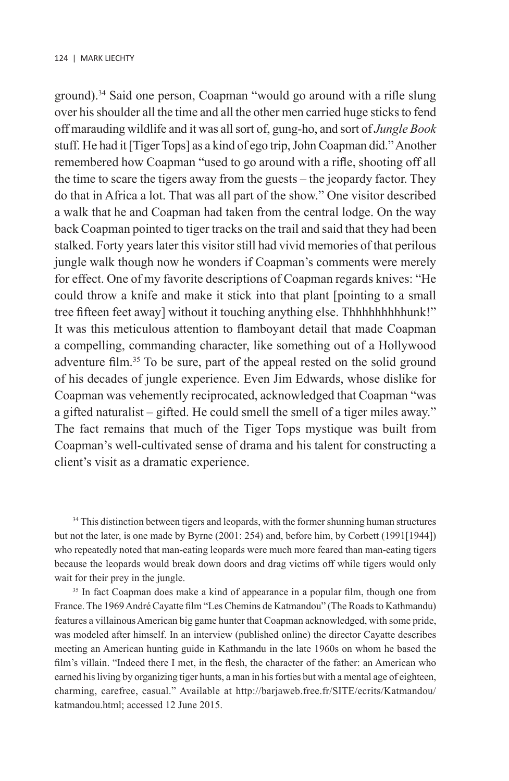ground).34 Said one person, Coapman "would go around with a rifle slung over his shoulder all the time and all the other men carried huge sticks to fend off marauding wildlife and it was all sort of, gung-ho, and sort of *Jungle Book* stuff. He had it [Tiger Tops] as a kind of ego trip, John Coapman did." Another remembered how Coapman "used to go around with a rifle, shooting off all the time to scare the tigers away from the guests – the jeopardy factor. They do that in Africa a lot. That was all part of the show." One visitor described a walk that he and Coapman had taken from the central lodge. On the way back Coapman pointed to tiger tracks on the trail and said that they had been stalked. Forty years later this visitor still had vivid memories of that perilous jungle walk though now he wonders if Coapman's comments were merely for effect. One of my favorite descriptions of Coapman regards knives: "He could throw a knife and make it stick into that plant [pointing to a small tree fifteen feet away] without it touching anything else. Thhhhhhhhhunk!" It was this meticulous attention to flamboyant detail that made Coapman a compelling, commanding character, like something out of a Hollywood adventure film.35 To be sure, part of the appeal rested on the solid ground of his decades of jungle experience. Even Jim Edwards, whose dislike for Coapman was vehemently reciprocated, acknowledged that Coapman "was a gifted naturalist – gifted. He could smell the smell of a tiger miles away." The fact remains that much of the Tiger Tops mystique was built from Coapman's well-cultivated sense of drama and his talent for constructing a client's visit as a dramatic experience.

<sup>34</sup> This distinction between tigers and leopards, with the former shunning human structures but not the later, is one made by Byrne (2001: 254) and, before him, by Corbett (1991[1944]) who repeatedly noted that man-eating leopards were much more feared than man-eating tigers because the leopards would break down doors and drag victims off while tigers would only wait for their prey in the jungle.

<sup>35</sup> In fact Coapman does make a kind of appearance in a popular film, though one from France. The 1969 André Cayatte film "Les Chemins de Katmandou" (The Roads to Kathmandu) features a villainous American big game hunter that Coapman acknowledged, with some pride, was modeled after himself. In an interview (published online) the director Cayatte describes meeting an American hunting guide in Kathmandu in the late 1960s on whom he based the film's villain. "Indeed there I met, in the flesh, the character of the father: an American who earned his living by organizing tiger hunts, a man in his forties but with a mental age of eighteen, charming, carefree, casual." Available at http://barjaweb.free.fr/SITE/ecrits/Katmandou/ katmandou.html; accessed 12 June 2015.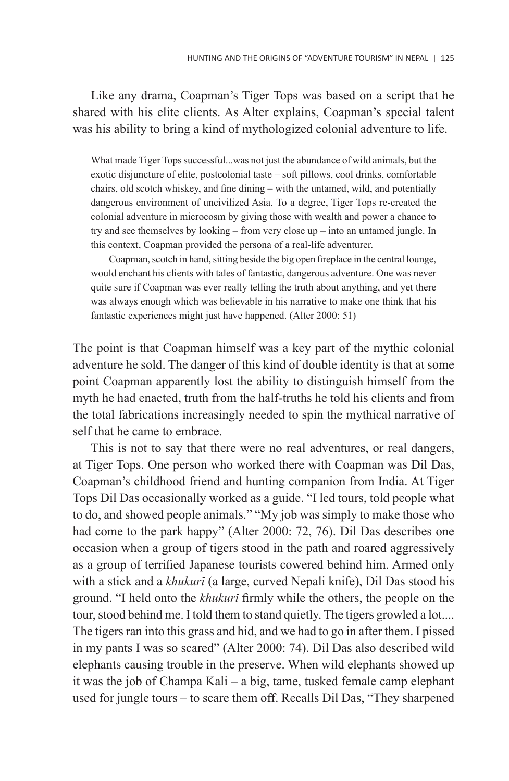Like any drama, Coapman's Tiger Tops was based on a script that he shared with his elite clients. As Alter explains, Coapman's special talent was his ability to bring a kind of mythologized colonial adventure to life.

What made Tiger Tops successful...was not just the abundance of wild animals, but the exotic disjuncture of elite, postcolonial taste – soft pillows, cool drinks, comfortable chairs, old scotch whiskey, and fine dining – with the untamed, wild, and potentially dangerous environment of uncivilized Asia. To a degree, Tiger Tops re-created the colonial adventure in microcosm by giving those with wealth and power a chance to try and see themselves by looking – from very close up – into an untamed jungle. In this context, Coapman provided the persona of a real-life adventurer.

Coapman, scotch in hand, sitting beside the big open fireplace in the central lounge, would enchant his clients with tales of fantastic, dangerous adventure. One was never quite sure if Coapman was ever really telling the truth about anything, and yet there was always enough which was believable in his narrative to make one think that his fantastic experiences might just have happened. (Alter 2000: 51)

The point is that Coapman himself was a key part of the mythic colonial adventure he sold. The danger of this kind of double identity is that at some point Coapman apparently lost the ability to distinguish himself from the myth he had enacted, truth from the half-truths he told his clients and from the total fabrications increasingly needed to spin the mythical narrative of self that he came to embrace.

This is not to say that there were no real adventures, or real dangers, at Tiger Tops. One person who worked there with Coapman was Dil Das, Coapman's childhood friend and hunting companion from India. At Tiger Tops Dil Das occasionally worked as a guide. "I led tours, told people what to do, and showed people animals." "My job was simply to make those who had come to the park happy" (Alter 2000: 72, 76). Dil Das describes one occasion when a group of tigers stood in the path and roared aggressively as a group of terrified Japanese tourists cowered behind him. Armed only with a stick and a *khukurã* (a large, curved Nepali knife), Dil Das stood his ground. "I held onto the *khukurã* firmly while the others, the people on the tour, stood behind me. I told them to stand quietly. The tigers growled a lot.... The tigers ran into this grass and hid, and we had to go in after them. I pissed in my pants I was so scared" (Alter 2000: 74). Dil Das also described wild elephants causing trouble in the preserve. When wild elephants showed up it was the job of Champa Kali – a big, tame, tusked female camp elephant used for jungle tours – to scare them off. Recalls Dil Das, "They sharpened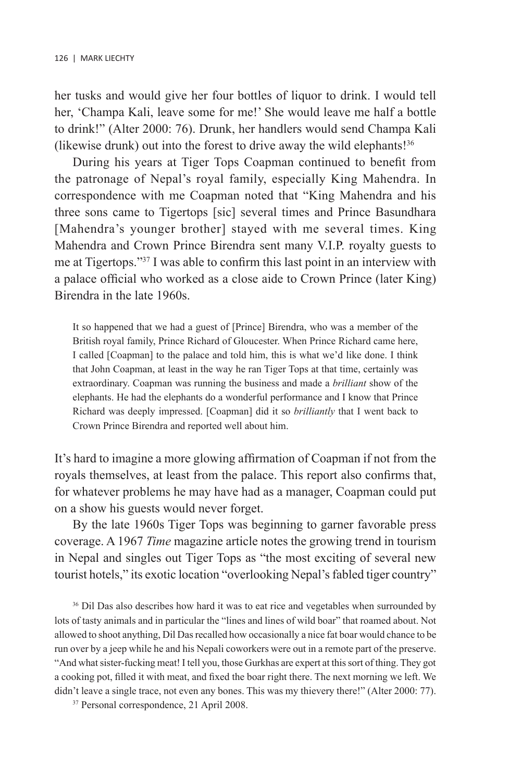her tusks and would give her four bottles of liquor to drink. I would tell her, 'Champa Kali, leave some for me!' She would leave me half a bottle to drink!" (Alter 2000: 76). Drunk, her handlers would send Champa Kali (likewise drunk) out into the forest to drive away the wild elephants!36

During his years at Tiger Tops Coapman continued to benefit from the patronage of Nepal's royal family, especially King Mahendra. In correspondence with me Coapman noted that "King Mahendra and his three sons came to Tigertops [sic] several times and Prince Basundhara [Mahendra's younger brother] stayed with me several times. King Mahendra and Crown Prince Birendra sent many V.I.P. royalty guests to me at Tigertops."<sup>37</sup> I was able to confirm this last point in an interview with a palace official who worked as a close aide to Crown Prince (later King) Birendra in the late 1960s.

It so happened that we had a guest of [Prince] Birendra, who was a member of the British royal family, Prince Richard of Gloucester. When Prince Richard came here, I called [Coapman] to the palace and told him, this is what we'd like done. I think that John Coapman, at least in the way he ran Tiger Tops at that time, certainly was extraordinary. Coapman was running the business and made a *brilliant* show of the elephants. He had the elephants do a wonderful performance and I know that Prince Richard was deeply impressed. [Coapman] did it so *brilliantly* that I went back to Crown Prince Birendra and reported well about him.

It's hard to imagine a more glowing affirmation of Coapman if not from the royals themselves, at least from the palace. This report also confirms that, for whatever problems he may have had as a manager, Coapman could put on a show his guests would never forget.

By the late 1960s Tiger Tops was beginning to garner favorable press coverage. A 1967 *Time* magazine article notes the growing trend in tourism in Nepal and singles out Tiger Tops as "the most exciting of several new tourist hotels," its exotic location "overlooking Nepal's fabled tiger country"

<sup>36</sup> Dil Das also describes how hard it was to eat rice and vegetables when surrounded by lots of tasty animals and in particular the "lines and lines of wild boar" that roamed about. Not allowed to shoot anything, Dil Das recalled how occasionally a nice fat boar would chance to be run over by a jeep while he and his Nepali coworkers were out in a remote part of the preserve. "And what sister-fucking meat! I tell you, those Gurkhas are expert at this sort of thing. They got a cooking pot, filled it with meat, and fixed the boar right there. The next morning we left. We didn't leave a single trace, not even any bones. This was my thievery there!" (Alter 2000: 77).

37 Personal correspondence, 21 April 2008.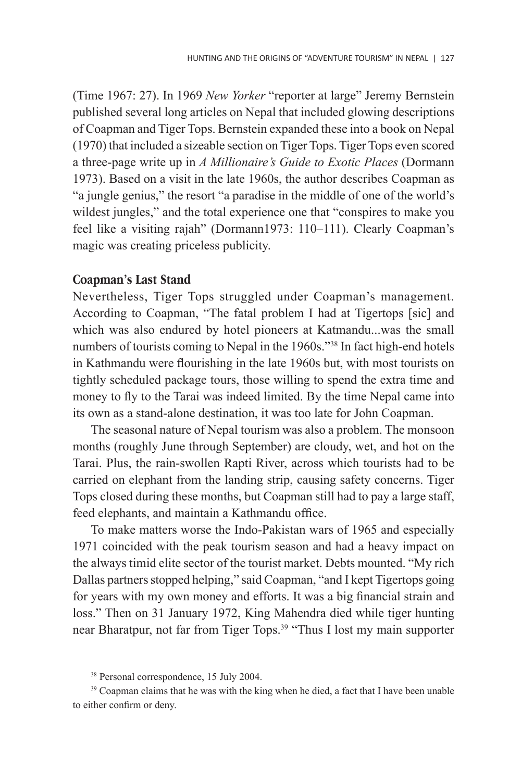(Time 1967: 27). In 1969 *New Yorker* "reporter at large" Jeremy Bernstein published several long articles on Nepal that included glowing descriptions of Coapman and Tiger Tops. Bernstein expanded these into a book on Nepal (1970) that included a sizeable section on Tiger Tops. Tiger Tops even scored a three-page write up in *A Millionaire's Guide to Exotic Places* (Dormann 1973). Based on a visit in the late 1960s, the author describes Coapman as "a jungle genius," the resort "a paradise in the middle of one of the world's wildest jungles," and the total experience one that "conspires to make you feel like a visiting rajah" (Dormann1973: 110–111). Clearly Coapman's magic was creating priceless publicity.

#### **Coapman's Last Stand**

Nevertheless, Tiger Tops struggled under Coapman's management. According to Coapman, "The fatal problem I had at Tigertops [sic] and which was also endured by hotel pioneers at Katmandu...was the small numbers of tourists coming to Nepal in the 1960s.<sup>338</sup> In fact high-end hotels in Kathmandu were flourishing in the late 1960s but, with most tourists on tightly scheduled package tours, those willing to spend the extra time and money to fly to the Tarai was indeed limited. By the time Nepal came into its own as a stand-alone destination, it was too late for John Coapman.

The seasonal nature of Nepal tourism was also a problem. The monsoon months (roughly June through September) are cloudy, wet, and hot on the Tarai. Plus, the rain-swollen Rapti River, across which tourists had to be carried on elephant from the landing strip, causing safety concerns. Tiger Tops closed during these months, but Coapman still had to pay a large staff, feed elephants, and maintain a Kathmandu office.

To make matters worse the Indo-Pakistan wars of 1965 and especially 1971 coincided with the peak tourism season and had a heavy impact on the always timid elite sector of the tourist market. Debts mounted. "My rich Dallas partners stopped helping," said Coapman, "and I kept Tigertops going for years with my own money and efforts. It was a big financial strain and loss." Then on 31 January 1972, King Mahendra died while tiger hunting near Bharatpur, not far from Tiger Tops.39 "Thus I lost my main supporter

<sup>38</sup> Personal correspondence, 15 July 2004.

<sup>&</sup>lt;sup>39</sup> Coapman claims that he was with the king when he died, a fact that I have been unable to either confirm or deny.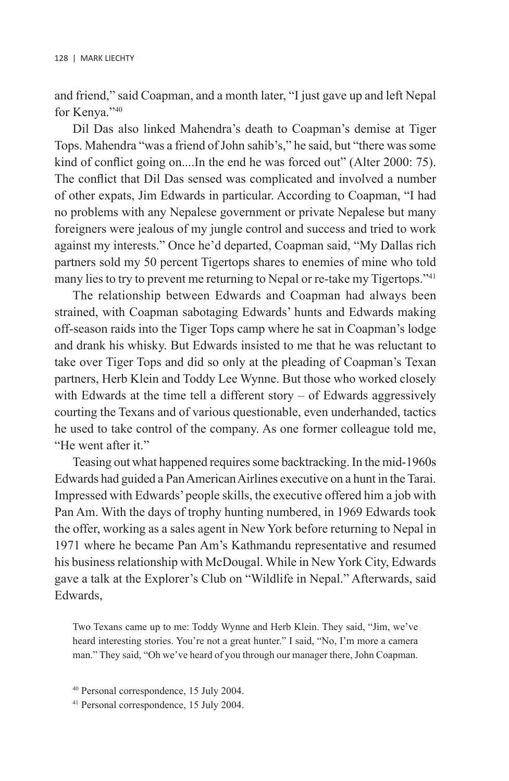and friend," said Coapman, and a month later, "I just gave up and left Nepal for Kenya."<sup>40</sup>

Dil Das also linked Mahendra's death to Coapman's demise at Tiger Tops. Mahendra "was a friend of John sahib's," he said, but "there was some kind of conflict going on....In the end he was forced out" (Alter 2000: 75). The conflict that Dil Das sensed was complicated and involved a number of other expats, Jim Edwards in particular. According to Coapman, "I had no problems with any Nepalese government or private Nepalese but many foreigners were jealous of my jungle control and success and tried to work against my interests." Once he'd departed, Coapman said, "My Dallas rich partners sold my 50 percent Tigertops shares to enemies of mine who told many lies to try to prevent me returning to Nepal or re-take my Tigertops."<sup>41</sup>

The relationship between Edwards and Coapman had always been strained, with Coapman sabotaging Edwards' hunts and Edwards making off-season raids into the Tiger Tops camp where he sat in Coapman's lodge and drank his whisky. But Edwards insisted to me that he was reluctant to take over Tiger Tops and did so only at the pleading of Coapman's Texan partners, Herb Klein and Toddy Lee Wynne. But those who worked closely with Edwards at the time tell a different story – of Edwards aggressively courting the Texans and of various questionable, even underhanded, tactics he used to take control of the company. As one former colleague told me, "He went after it."

Teasing out what happened requires some backtracking. In the mid-1960s Edwards had guided a Pan American Airlines executive on a hunt in the Tarai. Impressed with Edwards' people skills, the executive offered him a job with Pan Am. With the days of trophy hunting numbered, in 1969 Edwards took the offer, working as a sales agent in New York before returning to Nepal in 1971 where he became Pan Am's Kathmandu representative and resumed his business relationship with McDougal. While in New York City, Edwards gave a talk at the Explorer's Club on "Wildlife in Nepal." Afterwards, said Edwards,

Two Texans came up to me: Toddy Wynne and Herb Klein. They said, "Jim, we've heard interesting stories. You're not a great hunter." I said, "No, I'm more a camera man." They said, "Oh we've heard of you through our manager there, John Coapman.

40 Personal correspondence, 15 July 2004.

41 Personal correspondence, 15 July 2004.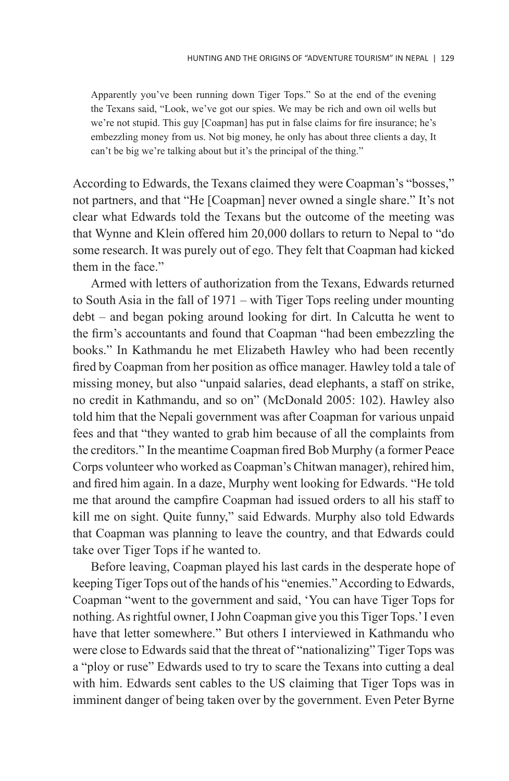Apparently you've been running down Tiger Tops." So at the end of the evening the Texans said, "Look, we've got our spies. We may be rich and own oil wells but we're not stupid. This guy [Coapman] has put in false claims for fire insurance; he's embezzling money from us. Not big money, he only has about three clients a day, It can't be big we're talking about but it's the principal of the thing."

According to Edwards, the Texans claimed they were Coapman's "bosses," not partners, and that "He [Coapman] never owned a single share." It's not clear what Edwards told the Texans but the outcome of the meeting was that Wynne and Klein offered him 20,000 dollars to return to Nepal to "do some research. It was purely out of ego. They felt that Coapman had kicked them in the face."

Armed with letters of authorization from the Texans, Edwards returned to South Asia in the fall of 1971 – with Tiger Tops reeling under mounting debt – and began poking around looking for dirt. In Calcutta he went to the firm's accountants and found that Coapman "had been embezzling the books." In Kathmandu he met Elizabeth Hawley who had been recently fired by Coapman from her position as office manager. Hawley told a tale of missing money, but also "unpaid salaries, dead elephants, a staff on strike, no credit in Kathmandu, and so on" (McDonald 2005: 102). Hawley also told him that the Nepali government was after Coapman for various unpaid fees and that "they wanted to grab him because of all the complaints from the creditors." In the meantime Coapman fired Bob Murphy (a former Peace Corps volunteer who worked as Coapman's Chitwan manager), rehired him, and fired him again. In a daze, Murphy went looking for Edwards. "He told me that around the campfire Coapman had issued orders to all his staff to kill me on sight. Quite funny," said Edwards. Murphy also told Edwards that Coapman was planning to leave the country, and that Edwards could take over Tiger Tops if he wanted to.

Before leaving, Coapman played his last cards in the desperate hope of keeping Tiger Tops out of the hands of his "enemies." According to Edwards, Coapman "went to the government and said, 'You can have Tiger Tops for nothing. As rightful owner, I John Coapman give you this Tiger Tops.' I even have that letter somewhere." But others I interviewed in Kathmandu who were close to Edwards said that the threat of "nationalizing" Tiger Tops was a "ploy or ruse" Edwards used to try to scare the Texans into cutting a deal with him. Edwards sent cables to the US claiming that Tiger Tops was in imminent danger of being taken over by the government. Even Peter Byrne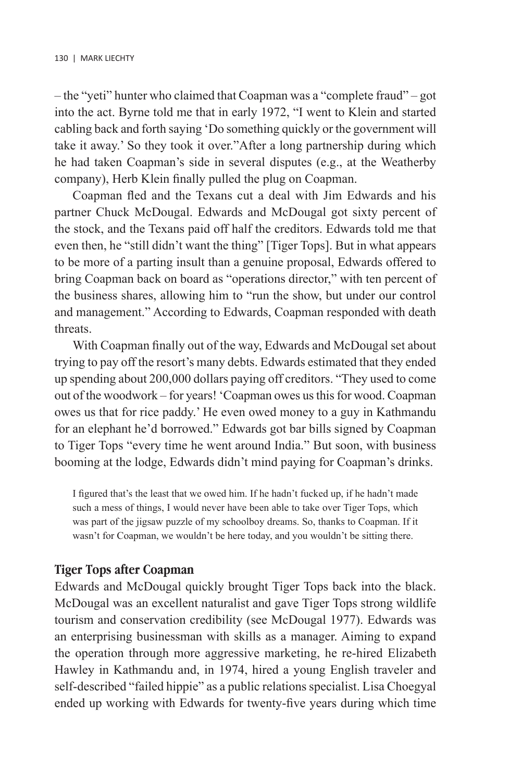– the "yeti" hunter who claimed that Coapman was a "complete fraud" – got into the act. Byrne told me that in early 1972, "I went to Klein and started cabling back and forth saying 'Do something quickly or the government will take it away.' So they took it over."After a long partnership during which he had taken Coapman's side in several disputes (e.g., at the Weatherby company), Herb Klein finally pulled the plug on Coapman.

Coapman fled and the Texans cut a deal with Jim Edwards and his partner Chuck McDougal. Edwards and McDougal got sixty percent of the stock, and the Texans paid off half the creditors. Edwards told me that even then, he "still didn't want the thing" [Tiger Tops]. But in what appears to be more of a parting insult than a genuine proposal, Edwards offered to bring Coapman back on board as "operations director," with ten percent of the business shares, allowing him to "run the show, but under our control and management." According to Edwards, Coapman responded with death threats.

With Coapman finally out of the way, Edwards and McDougal set about trying to pay off the resort's many debts. Edwards estimated that they ended up spending about 200,000 dollars paying off creditors. "They used to come out of the woodwork – for years! 'Coapman owes us this for wood. Coapman owes us that for rice paddy.' He even owed money to a guy in Kathmandu for an elephant he'd borrowed." Edwards got bar bills signed by Coapman to Tiger Tops "every time he went around India." But soon, with business booming at the lodge, Edwards didn't mind paying for Coapman's drinks.

I figured that's the least that we owed him. If he hadn't fucked up, if he hadn't made such a mess of things, I would never have been able to take over Tiger Tops, which was part of the jigsaw puzzle of my schoolboy dreams. So, thanks to Coapman. If it wasn't for Coapman, we wouldn't be here today, and you wouldn't be sitting there.

#### **Tiger Tops after Coapman**

Edwards and McDougal quickly brought Tiger Tops back into the black. McDougal was an excellent naturalist and gave Tiger Tops strong wildlife tourism and conservation credibility (see McDougal 1977). Edwards was an enterprising businessman with skills as a manager. Aiming to expand the operation through more aggressive marketing, he re-hired Elizabeth Hawley in Kathmandu and, in 1974, hired a young English traveler and self-described "failed hippie" as a public relations specialist. Lisa Choegyal ended up working with Edwards for twenty-five years during which time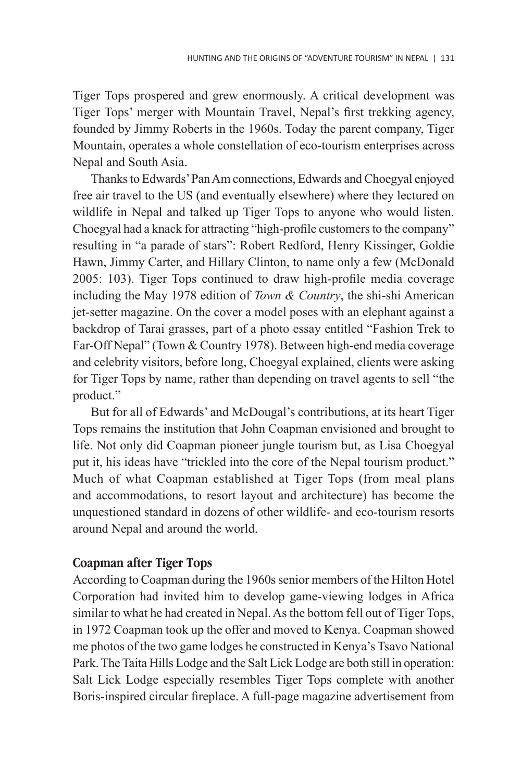Tiger Tops prospered and grew enormously. A critical development was Tiger Tops' merger with Mountain Travel, Nepal's first trekking agency, founded by Jimmy Roberts in the 1960s. Today the parent company, Tiger Mountain, operates a whole constellation of eco-tourism enterprises across Nepal and South Asia.

Thanks to Edwards' Pan Am connections, Edwards and Choegyal enjoyed free air travel to the US (and eventually elsewhere) where they lectured on wildlife in Nepal and talked up Tiger Tops to anyone who would listen. Choegyal had a knack for attracting "high-profile customers to the company" resulting in "a parade of stars": Robert Redford, Henry Kissinger, Goldie Hawn, Jimmy Carter, and Hillary Clinton, to name only a few (McDonald 2005: 103). Tiger Tops continued to draw high-profile media coverage including the May 1978 edition of *Town & Country*, the shi-shi American jet-setter magazine. On the cover a model poses with an elephant against a backdrop of Tarai grasses, part of a photo essay entitled "Fashion Trek to Far-Off Nepal" (Town & Country 1978). Between high-end media coverage and celebrity visitors, before long, Choegyal explained, clients were asking for Tiger Tops by name, rather than depending on travel agents to sell "the product."

But for all of Edwards' and McDougal's contributions, at its heart Tiger Tops remains the institution that John Coapman envisioned and brought to life. Not only did Coapman pioneer jungle tourism but, as Lisa Choegyal put it, his ideas have "trickled into the core of the Nepal tourism product." Much of what Coapman established at Tiger Tops (from meal plans and accommodations, to resort layout and architecture) has become the unquestioned standard in dozens of other wildlife- and eco-tourism resorts around Nepal and around the world.

# **Coapman after Tiger Tops**

According to Coapman during the 1960s senior members of the Hilton Hotel Corporation had invited him to develop game-viewing lodges in Africa similar to what he had created in Nepal. As the bottom fell out of Tiger Tops, in 1972 Coapman took up the offer and moved to Kenya. Coapman showed me photos of the two game lodges he constructed in Kenya's Tsavo National Park. The Taita Hills Lodge and the Salt Lick Lodge are both still in operation: Salt Lick Lodge especially resembles Tiger Tops complete with another Boris-inspired circular fireplace. A full-page magazine advertisement from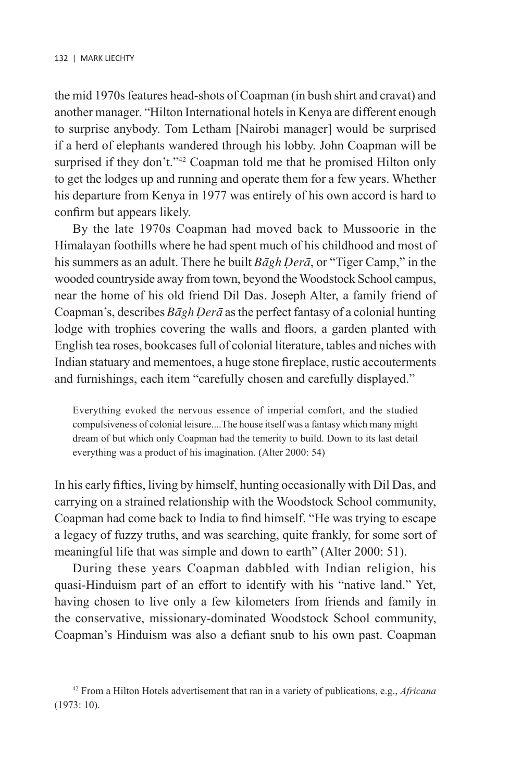the mid 1970s features head-shots of Coapman (in bush shirt and cravat) and another manager. "Hilton International hotels in Kenya are different enough to surprise anybody. Tom Letham [Nairobi manager] would be surprised if a herd of elephants wandered through his lobby. John Coapman will be surprised if they don't."<sup>42</sup> Coapman told me that he promised Hilton only to get the lodges up and running and operate them for a few years. Whether his departure from Kenya in 1977 was entirely of his own accord is hard to confirm but appears likely.

By the late 1970s Coapman had moved back to Mussoorie in the Himalayan foothills where he had spent much of his childhood and most of his summers as an adult. There he built  $B\bar{a}gh$  *Der* $\bar{a}$ , or "Tiger Camp," in the wooded countryside away from town, beyond the Woodstock School campus, near the home of his old friend Dil Das. Joseph Alter, a family friend of Coapman's, describes *Bāgh Derā* as the perfect fantasy of a colonial hunting lodge with trophies covering the walls and floors, a garden planted with English tea roses, bookcases full of colonial literature, tables and niches with Indian statuary and mementoes, a huge stone fireplace, rustic accouterments and furnishings, each item "carefully chosen and carefully displayed."

Everything evoked the nervous essence of imperial comfort, and the studied compulsiveness of colonial leisure....The house itself was a fantasy which many might dream of but which only Coapman had the temerity to build. Down to its last detail everything was a product of his imagination. (Alter 2000: 54)

In his early fifties, living by himself, hunting occasionally with Dil Das, and carrying on a strained relationship with the Woodstock School community, Coapman had come back to India to find himself. "He was trying to escape a legacy of fuzzy truths, and was searching, quite frankly, for some sort of meaningful life that was simple and down to earth" (Alter 2000: 51).

During these years Coapman dabbled with Indian religion, his quasi-Hinduism part of an effort to identify with his "native land." Yet, having chosen to live only a few kilometers from friends and family in the conservative, missionary-dominated Woodstock School community, Coapman's Hinduism was also a defiant snub to his own past. Coapman

<sup>42</sup> From a Hilton Hotels advertisement that ran in a variety of publications, e.g., *Africana*  (1973: 10).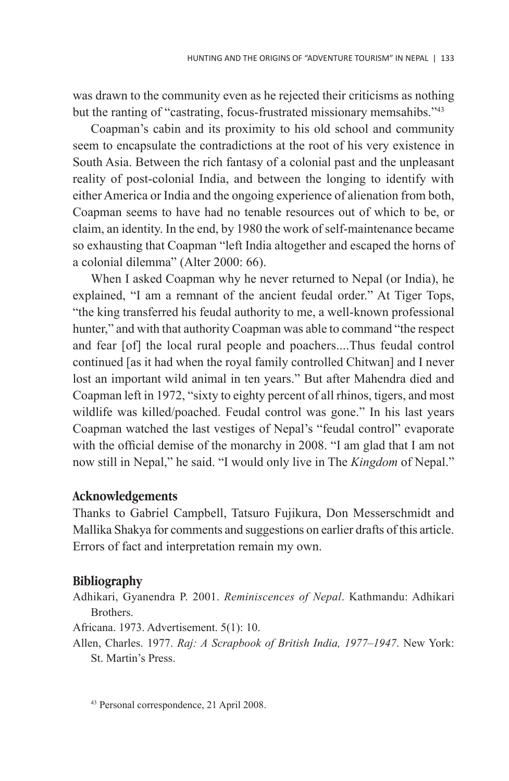was drawn to the community even as he rejected their criticisms as nothing but the ranting of "castrating, focus-frustrated missionary memsahibs."<sup>43</sup>

Coapman's cabin and its proximity to his old school and community seem to encapsulate the contradictions at the root of his very existence in South Asia. Between the rich fantasy of a colonial past and the unpleasant reality of post-colonial India, and between the longing to identify with either America or India and the ongoing experience of alienation from both, Coapman seems to have had no tenable resources out of which to be, or claim, an identity. In the end, by 1980 the work of self-maintenance became so exhausting that Coapman "left India altogether and escaped the horns of a colonial dilemma" (Alter 2000: 66).

When I asked Coapman why he never returned to Nepal (or India), he explained, "I am a remnant of the ancient feudal order." At Tiger Tops, "the king transferred his feudal authority to me, a well-known professional hunter," and with that authority Coapman was able to command "the respect" and fear [of] the local rural people and poachers....Thus feudal control continued [as it had when the royal family controlled Chitwan] and I never lost an important wild animal in ten years." But after Mahendra died and Coapman left in 1972, "sixty to eighty percent of all rhinos, tigers, and most wildlife was killed/poached. Feudal control was gone." In his last years Coapman watched the last vestiges of Nepal's "feudal control" evaporate with the official demise of the monarchy in 2008. "I am glad that I am not now still in Nepal," he said. "I would only live in The *Kingdom* of Nepal."

# **Acknowledgements**

Thanks to Gabriel Campbell, Tatsuro Fujikura, Don Messerschmidt and Mallika Shakya for comments and suggestions on earlier drafts of this article. Errors of fact and interpretation remain my own.

# **Bibliography**

Adhikari, Gyanendra P. 2001. *Reminiscences of Nepal*. Kathmandu: Adhikari **Brothers** 

Africana. 1973. Advertisement. 5(1): 10.

Allen, Charles. 1977. *Raj: A Scrapbook of British India, 1977–1947*. New York: St. Martin's Press.

43 Personal correspondence, 21 April 2008.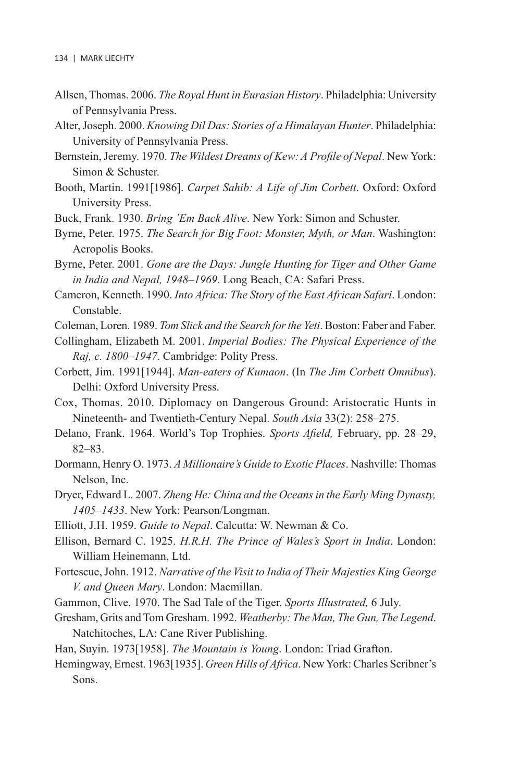- Allsen, Thomas. 2006. *The Royal Hunt in Eurasian History*. Philadelphia: University of Pennsylvania Press.
- Alter, Joseph. 2000. *Knowing Dil Das: Stories of a Himalayan Hunter*. Philadelphia: University of Pennsylvania Press.
- Bernstein, Jeremy. 1970. *The Wildest Dreams of Kew: A Profile of Nepal*. New York: Simon & Schuster.
- Booth, Martin. 1991[1986]. *Carpet Sahib: A Life of Jim Corbett*. Oxford: Oxford University Press.
- Buck, Frank. 1930. *Bring 'Em Back Alive*. New York: Simon and Schuster.
- Byrne, Peter. 1975. *The Search for Big Foot: Monster, Myth, or Man*. Washington: Acropolis Books.
- Byrne, Peter. 2001. *Gone are the Days: Jungle Hunting for Tiger and Other Game in India and Nepal, 1948–1969*. Long Beach, CA: Safari Press.
- Cameron, Kenneth. 1990. *Into Africa: The Story of the East African Safari*. London: Constable.
- Coleman, Loren. 1989. *Tom Slick and the Search for the Yeti*. Boston: Faber and Faber.
- Collingham, Elizabeth M. 2001. *Imperial Bodies: The Physical Experience of the Raj, c. 1800–1947*. Cambridge: Polity Press.
- Corbett, Jim. 1991[1944]. *Man-eaters of Kumaon*. (In *The Jim Corbett Omnibus*). Delhi: Oxford University Press.
- Cox, Thomas. 2010. Diplomacy on Dangerous Ground: Aristocratic Hunts in Nineteenth- and Twentieth-Century Nepal. *South Asia* 33(2): 258–275.
- Delano, Frank. 1964. World's Top Trophies. *Sports Afield,* February, pp. 28–29, 82–83.
- Dormann, Henry O. 1973. *A Millionaire's Guide to Exotic Places*. Nashville: Thomas Nelson, Inc.
- Dryer, Edward L. 2007. *Zheng He: China and the Oceans in the Early Ming Dynasty, 1405–1433*. New York: Pearson/Longman.
- Elliott, J.H. 1959. *Guide to Nepal*. Calcutta: W. Newman & Co.
- Ellison, Bernard C. 1925. *H.R.H. The Prince of Wales's Sport in India*. London: William Heinemann, Ltd.
- Fortescue, John. 1912. *Narrative of the Visit to India of Their Majesties King George V. and Queen Mary*. London: Macmillan.
- Gammon, Clive. 1970. The Sad Tale of the Tiger. *Sports Illustrated,* 6 July.
- Gresham, Grits and Tom Gresham. 1992. *Weatherby: The Man, The Gun, The Legend*. Natchitoches, LA: Cane River Publishing.
- Han, Suyin. 1973[1958]. *The Mountain is Young*. London: Triad Grafton.
- Hemingway, Ernest. 1963[1935]. *Green Hills of Africa*. New York: Charles Scribner's Sons.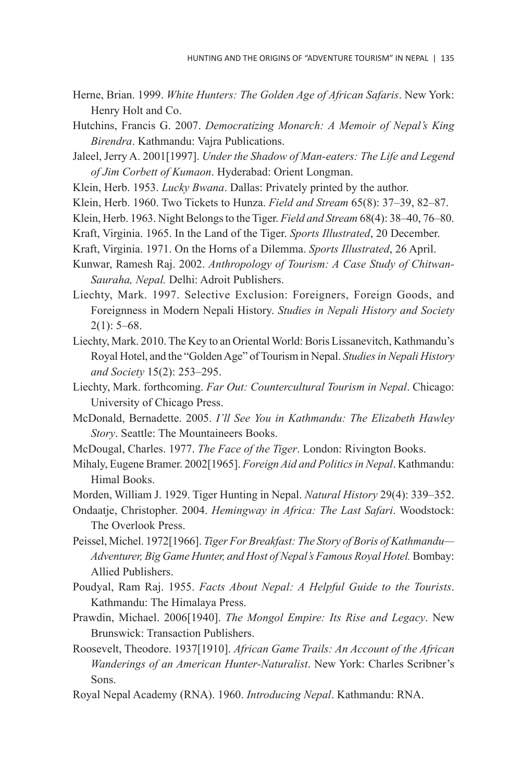- Herne, Brian. 1999. *White Hunters: The Golden Age of African Safaris*. New York: Henry Holt and Co.
- Hutchins, Francis G. 2007. *Democratizing Monarch: A Memoir of Nepal's King Birendra*. Kathmandu: Vajra Publications.
- Jaleel, Jerry A. 2001[1997]. *Under the Shadow of Man-eaters: The Life and Legend of Jim Corbett of Kumaon*. Hyderabad: Orient Longman.
- Klein, Herb. 1953. *Lucky Bwana*. Dallas: Privately printed by the author.
- Klein, Herb. 1960. Two Tickets to Hunza. *Field and Stream* 65(8): 37–39, 82–87.
- Klein, Herb. 1963. Night Belongs to the Tiger. *Field and Stream* 68(4): 38–40, 76–80.
- Kraft, Virginia. 1965. In the Land of the Tiger. *Sports Illustrated*, 20 December.
- Kraft, Virginia. 1971. On the Horns of a Dilemma. *Sports Illustrated*, 26 April.
- Kunwar, Ramesh Raj. 2002. *Anthropology of Tourism: A Case Study of Chitwan-Sauraha, Nepal.* Delhi: Adroit Publishers.
- Liechty, Mark. 1997. Selective Exclusion: Foreigners, Foreign Goods, and Foreignness in Modern Nepali History. *Studies in Nepali History and Society*  $2(1): 5-68.$
- Liechty, Mark. 2010. The Key to an Oriental World: Boris Lissanevitch, Kathmandu's Royal Hotel, and the "Golden Age" of Tourism in Nepal. *Studies in Nepali History and Society* 15(2): 253–295.
- Liechty, Mark. forthcoming. *Far Out: Countercultural Tourism in Nepal*. Chicago: University of Chicago Press.
- McDonald, Bernadette. 2005. *I'll See You in Kathmandu: The Elizabeth Hawley Story*. Seattle: The Mountaineers Books.
- McDougal, Charles. 1977. *The Face of the Tiger*. London: Rivington Books.
- Mihaly, Eugene Bramer. 2002[1965]. *Foreign Aid and Politics in Nepal*. Kathmandu: Himal Books.
- Morden, William J. 1929. Tiger Hunting in Nepal. *Natural History* 29(4): 339–352.
- Ondaatje, Christopher. 2004. *Hemingway in Africa: The Last Safari*. Woodstock: The Overlook Press.
- Peissel, Michel. 1972[1966]. *Tiger For Breakfast: The Story of Boris of Kathmandu— Adventurer, Big Game Hunter, and Host of Nepal's Famous Royal Hotel.* Bombay: Allied Publishers.
- Poudyal, Ram Raj. 1955. *Facts About Nepal: A Helpful Guide to the Tourists*. Kathmandu: The Himalaya Press.
- Prawdin, Michael. 2006[1940]. *The Mongol Empire: Its Rise and Legacy*. New Brunswick: Transaction Publishers.
- Roosevelt, Theodore. 1937[1910]. *African Game Trails: An Account of the African Wanderings of an American Hunter-Naturalist*. New York: Charles Scribner's Sons.
- Royal Nepal Academy (RNA). 1960. *Introducing Nepal*. Kathmandu: RNA.